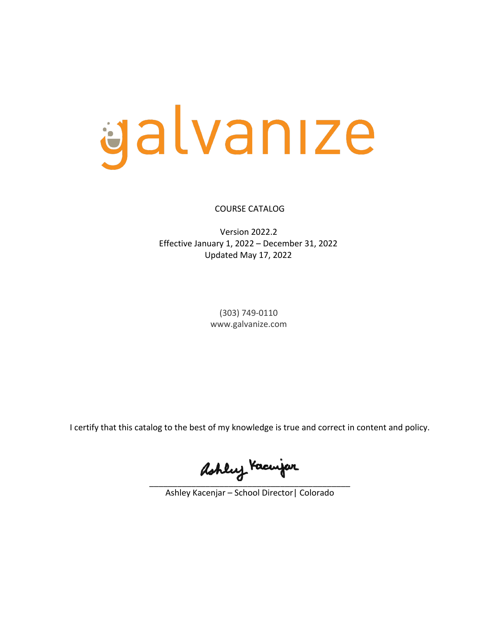# galvanıze

COURSE CATALOG

Version 2022.2 Effective January 1, 2022 – December 31, 2022 Updated May 17, 2022

> (303) 749-0110 www.galvanize.com

I certify that this catalog to the best of my knowledge is true and correct in content and policy.

ashley Kacinjar

Ashley Kacenjar – School Director| Colorado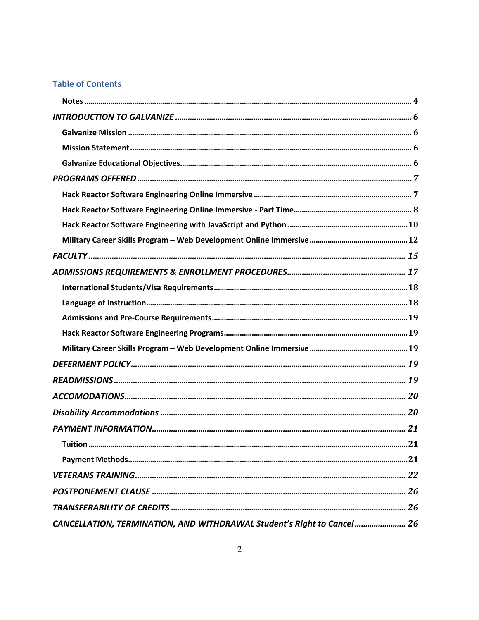# **Table of Contents**

| 21<br>Tuition                                                          |
|------------------------------------------------------------------------|
|                                                                        |
|                                                                        |
|                                                                        |
|                                                                        |
| CANCELLATION, TERMINATION, AND WITHDRAWAL Student's Right to Cancel 26 |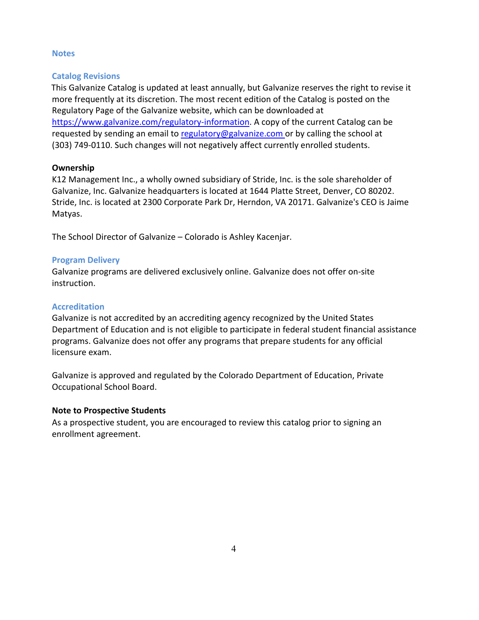# **Notes**

# **Catalog Revisions**

This Galvanize Catalog is updated at least annually, but Galvanize reserves the right to revise it more frequently at its discretion. The most recent edition of the Catalog is posted on the Regulatory Page of the Galvanize website, which can be downloaded at https://www.galvanize.com/regulatory-information. A copy of the current Catalog can be requested by sending an email to regulatory@galvanize.com or by calling the school at (303) 749-0110. Such changes will not negatively affect currently enrolled students.

# **Ownership**

K12 Management Inc., a wholly owned subsidiary of Stride, Inc. is the sole shareholder of Galvanize, Inc. Galvanize headquarters is located at 1644 Platte Street, Denver, CO 80202. Stride, Inc. is located at 2300 Corporate Park Dr, Herndon, VA 20171. Galvanize's CEO is Jaime Matyas.

The School Director of Galvanize – Colorado is Ashley Kacenjar.

# **Program Delivery**

Galvanize programs are delivered exclusively online. Galvanize does not offer on-site instruction.

# **Accreditation**

Galvanize is not accredited by an accrediting agency recognized by the United States Department of Education and is not eligible to participate in federal student financial assistance programs. Galvanize does not offer any programs that prepare students for any official licensure exam.

Galvanize is approved and regulated by the Colorado Department of Education, Private Occupational School Board.

# **Note to Prospective Students**

As a prospective student, you are encouraged to review this catalog prior to signing an enrollment agreement.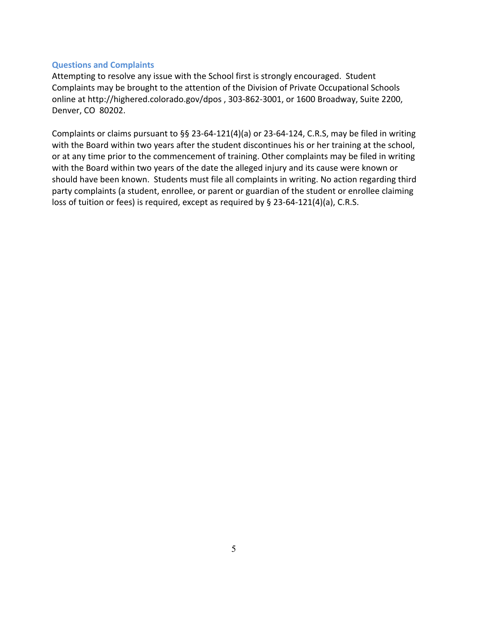# **Questions and Complaints**

Attempting to resolve any issue with the School first is strongly encouraged. Student Complaints may be brought to the attention of the Division of Private Occupational Schools online at http://highered.colorado.gov/dpos , 303-862-3001, or 1600 Broadway, Suite 2200, Denver, CO 80202.

Complaints or claims pursuant to §§ 23-64-121(4)(a) or 23-64-124, C.R.S, may be filed in writing with the Board within two years after the student discontinues his or her training at the school, or at any time prior to the commencement of training. Other complaints may be filed in writing with the Board within two years of the date the alleged injury and its cause were known or should have been known. Students must file all complaints in writing. No action regarding third party complaints (a student, enrollee, or parent or guardian of the student or enrollee claiming loss of tuition or fees) is required, except as required by § 23-64-121(4)(a), C.R.S.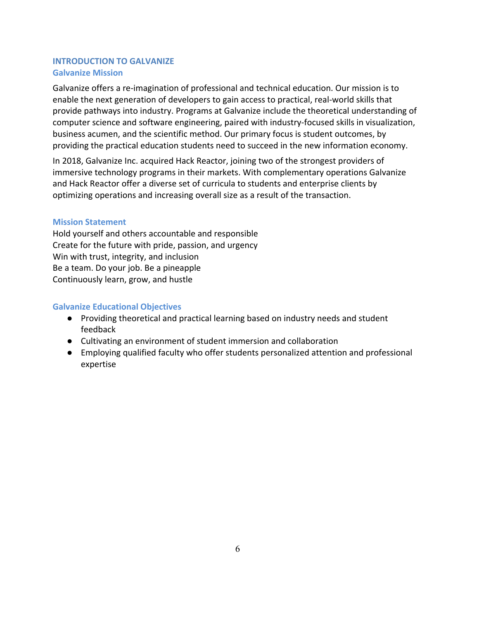# **INTRODUCTION TO GALVANIZE Galvanize Mission**

Galvanize offers a re-imagination of professional and technical education. Our mission is to enable the next generation of developers to gain access to practical, real-world skills that provide pathways into industry. Programs at Galvanize include the theoretical understanding of computer science and software engineering, paired with industry-focused skills in visualization, business acumen, and the scientific method. Our primary focus is student outcomes, by providing the practical education students need to succeed in the new information economy.

In 2018, Galvanize Inc. acquired Hack Reactor, joining two of the strongest providers of immersive technology programs in their markets. With complementary operations Galvanize and Hack Reactor offer a diverse set of curricula to students and enterprise clients by optimizing operations and increasing overall size as a result of the transaction.

# **Mission Statement**

Hold yourself and others accountable and responsible Create for the future with pride, passion, and urgency Win with trust, integrity, and inclusion Be a team. Do your job. Be a pineapple Continuously learn, grow, and hustle

# **Galvanize Educational Objectives**

- Providing theoretical and practical learning based on industry needs and student feedback
- Cultivating an environment of student immersion and collaboration
- Employing qualified faculty who offer students personalized attention and professional expertise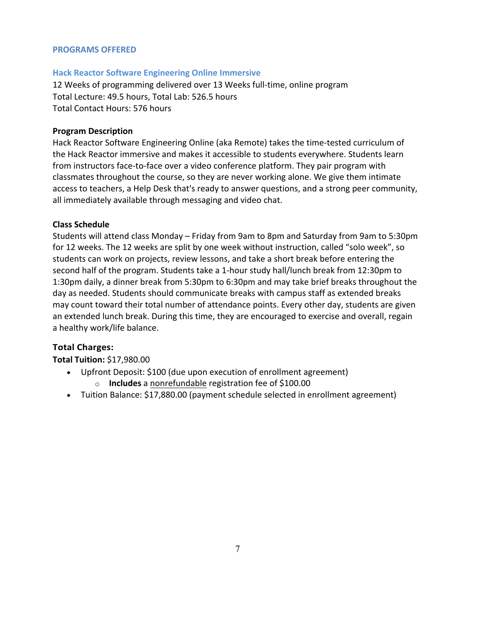# **PROGRAMS OFFERED**

# **Hack Reactor Software Engineering Online Immersive**

12 Weeks of programming delivered over 13 Weeks full-time, online program Total Lecture: 49.5 hours, Total Lab: 526.5 hours Total Contact Hours: 576 hours

# **Program Description**

Hack Reactor Software Engineering Online (aka Remote) takes the time-tested curriculum of the Hack Reactor immersive and makes it accessible to students everywhere. Students learn from instructors face-to-face over a video conference platform. They pair program with classmates throughout the course, so they are never working alone. We give them intimate access to teachers, a Help Desk that's ready to answer questions, and a strong peer community, all immediately available through messaging and video chat.

# **Class Schedule**

Students will attend class Monday – Friday from 9am to 8pm and Saturday from 9am to 5:30pm for 12 weeks. The 12 weeks are split by one week without instruction, called "solo week", so students can work on projects, review lessons, and take a short break before entering the second half of the program. Students take a 1-hour study hall/lunch break from 12:30pm to 1:30pm daily, a dinner break from 5:30pm to 6:30pm and may take brief breaks throughout the day as needed. Students should communicate breaks with campus staff as extended breaks may count toward their total number of attendance points. Every other day, students are given an extended lunch break. During this time, they are encouraged to exercise and overall, regain a healthy work/life balance.

# **Total Charges:**

# **Total Tuition:** \$17,980.00

- Upfront Deposit: \$100 (due upon execution of enrollment agreement)
	- o **Includes** a nonrefundable registration fee of \$100.00
- Tuition Balance: \$17,880.00 (payment schedule selected in enrollment agreement)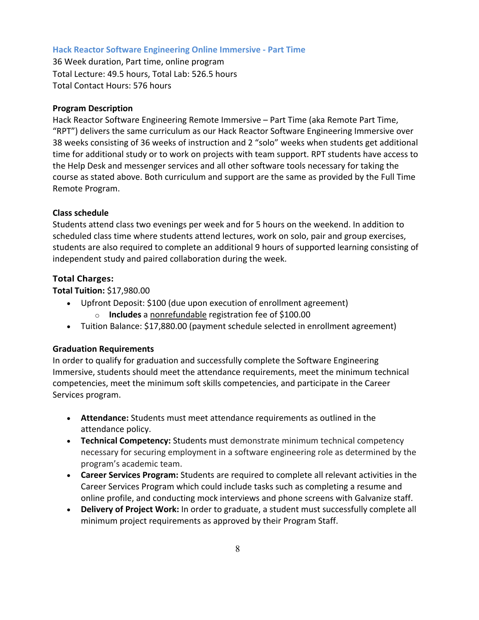## **Hack Reactor Software Engineering Online Immersive - Part Time**

36 Week duration, Part time, online program Total Lecture: 49.5 hours, Total Lab: 526.5 hours Total Contact Hours: 576 hours

## **Program Description**

Hack Reactor Software Engineering Remote Immersive – Part Time (aka Remote Part Time, "RPT") delivers the same curriculum as our Hack Reactor Software Engineering Immersive over 38 weeks consisting of 36 weeks of instruction and 2 "solo" weeks when students get additional time for additional study or to work on projects with team support. RPT students have access to the Help Desk and messenger services and all other software tools necessary for taking the course as stated above. Both curriculum and support are the same as provided by the Full Time Remote Program.

## **Class schedule**

Students attend class two evenings per week and for 5 hours on the weekend. In addition to scheduled class time where students attend lectures, work on solo, pair and group exercises, students are also required to complete an additional 9 hours of supported learning consisting of independent study and paired collaboration during the week.

## **Total Charges:**

**Total Tuition:** \$17,980.00

- Upfront Deposit: \$100 (due upon execution of enrollment agreement)
	- o **Includes** a nonrefundable registration fee of \$100.00
- Tuition Balance: \$17,880.00 (payment schedule selected in enrollment agreement)

#### **Graduation Requirements**

In order to qualify for graduation and successfully complete the Software Engineering Immersive, students should meet the attendance requirements, meet the minimum technical competencies, meet the minimum soft skills competencies, and participate in the Career Services program.

- **Attendance:** Students must meet attendance requirements as outlined in the attendance policy.
- **Technical Competency:** Students must demonstrate minimum technical competency necessary for securing employment in a software engineering role as determined by the program's academic team.
- **Career Services Program:** Students are required to complete all relevant activities in the Career Services Program which could include tasks such as completing a resume and online profile, and conducting mock interviews and phone screens with Galvanize staff.
- **Delivery of Project Work:** In order to graduate, a student must successfully complete all minimum project requirements as approved by their Program Staff.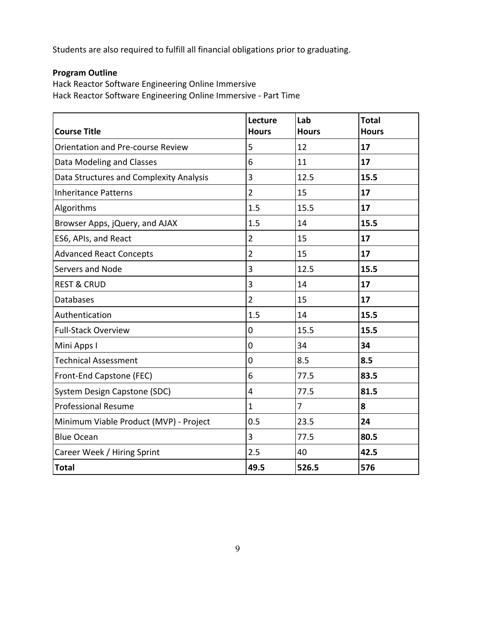Students are also required to fulfill all financial obligations prior to graduating.

# **Program Outline**

Hack Reactor Software Engineering Online Immersive Hack Reactor Software Engineering Online Immersive - Part Time

| <b>Course Title</b>                     | Lecture<br><b>Hours</b> | Lab<br><b>Hours</b> | <b>Total</b><br><b>Hours</b> |
|-----------------------------------------|-------------------------|---------------------|------------------------------|
| Orientation and Pre-course Review       | 5                       | 12                  | 17                           |
| Data Modeling and Classes               | 6                       | 11                  | 17                           |
| Data Structures and Complexity Analysis | 3                       | 12.5                | 15.5                         |
| <b>Inheritance Patterns</b>             | $\overline{2}$          | 15                  | 17                           |
| Algorithms                              | 1.5                     | 15.5                | 17                           |
| Browser Apps, jQuery, and AJAX          | 1.5                     | 14                  | 15.5                         |
| ES6, APIs, and React                    | $\overline{2}$          | 15                  | 17                           |
| <b>Advanced React Concepts</b>          | $\overline{2}$          | 15                  | 17                           |
| Servers and Node                        | 3                       | 12.5                | 15.5                         |
| <b>REST &amp; CRUD</b>                  | 3                       | 14                  | 17                           |
| <b>Databases</b>                        | $\overline{2}$          | 15                  | 17                           |
| Authentication                          | 1.5                     | 14                  | 15.5                         |
| <b>Full-Stack Overview</b>              | 0                       | 15.5                | 15.5                         |
| Mini Apps I                             | $\overline{0}$          | 34                  | 34                           |
| <b>Technical Assessment</b>             | 0                       | 8.5                 | 8.5                          |
| Front-End Capstone (FEC)                | 6                       | 77.5                | 83.5                         |
| System Design Capstone (SDC)            | 4                       | 77.5                | 81.5                         |
| <b>Professional Resume</b>              | $\mathbf{1}$            | $\overline{7}$      | 8                            |
| Minimum Viable Product (MVP) - Project  | 0.5                     | 23.5                | 24                           |
| <b>Blue Ocean</b>                       | 3                       | 77.5                | 80.5                         |
| Career Week / Hiring Sprint             | 2.5                     | 40                  | 42.5                         |
| <b>Total</b>                            | 49.5                    | 526.5               | 576                          |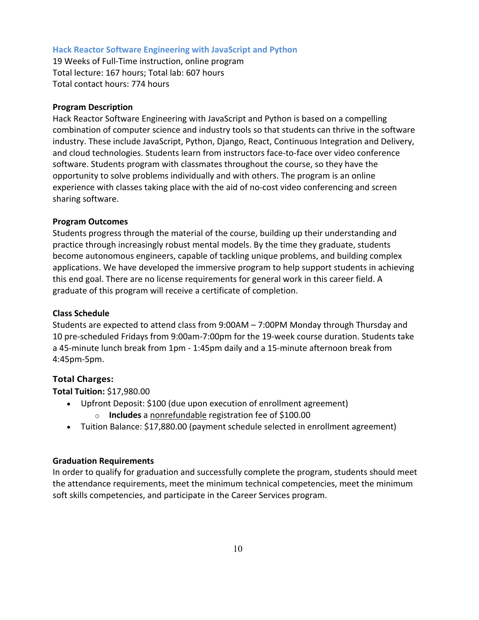#### **Hack Reactor Software Engineering with JavaScript and Python**

19 Weeks of Full-Time instruction, online program Total lecture: 167 hours; Total lab: 607 hours Total contact hours: 774 hours

## **Program Description**

Hack Reactor Software Engineering with JavaScript and Python is based on a compelling combination of computer science and industry tools so that students can thrive in the software industry. These include JavaScript, Python, Django, React, Continuous Integration and Delivery, and cloud technologies. Students learn from instructors face-to-face over video conference software. Students program with classmates throughout the course, so they have the opportunity to solve problems individually and with others. The program is an online experience with classes taking place with the aid of no-cost video conferencing and screen sharing software.

## **Program Outcomes**

Students progress through the material of the course, building up their understanding and practice through increasingly robust mental models. By the time they graduate, students become autonomous engineers, capable of tackling unique problems, and building complex applications. We have developed the immersive program to help support students in achieving this end goal. There are no license requirements for general work in this career field. A graduate of this program will receive a certificate of completion.

## **Class Schedule**

Students are expected to attend class from 9:00AM – 7:00PM Monday through Thursday and 10 pre-scheduled Fridays from 9:00am-7:00pm for the 19-week course duration. Students take a 45-minute lunch break from 1pm - 1:45pm daily and a 15-minute afternoon break from 4:45pm-5pm.

# **Total Charges:**

**Total Tuition:** \$17,980.00

- Upfront Deposit: \$100 (due upon execution of enrollment agreement)
	- o **Includes** a nonrefundable registration fee of \$100.00
- Tuition Balance: \$17,880.00 (payment schedule selected in enrollment agreement)

# **Graduation Requirements**

In order to qualify for graduation and successfully complete the program, students should meet the attendance requirements, meet the minimum technical competencies, meet the minimum soft skills competencies, and participate in the Career Services program.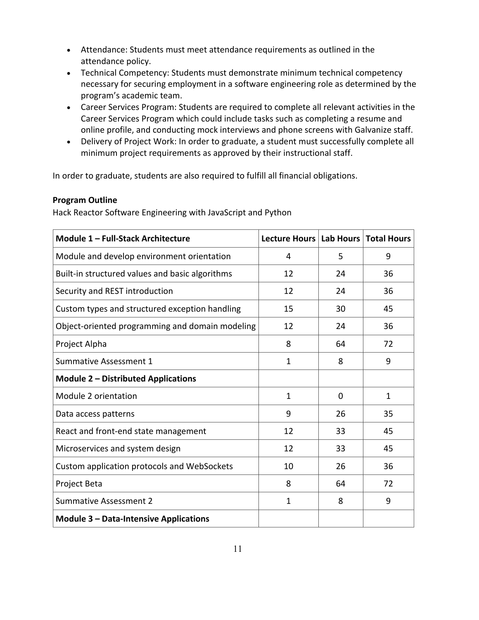- Attendance: Students must meet attendance requirements as outlined in the attendance policy.
- Technical Competency: Students must demonstrate minimum technical competency necessary for securing employment in a software engineering role as determined by the program's academic team.
- Career Services Program: Students are required to complete all relevant activities in the Career Services Program which could include tasks such as completing a resume and online profile, and conducting mock interviews and phone screens with Galvanize staff.
- Delivery of Project Work: In order to graduate, a student must successfully complete all minimum project requirements as approved by their instructional staff.

In order to graduate, students are also required to fulfill all financial obligations.

# **Program Outline**

Hack Reactor Software Engineering with JavaScript and Python

| Module 1 - Full-Stack Architecture              | Lecture Hours   Lab Hours   Total Hours |          |              |
|-------------------------------------------------|-----------------------------------------|----------|--------------|
| Module and develop environment orientation      | 4                                       | 5        | 9            |
| Built-in structured values and basic algorithms | 12                                      | 24       | 36           |
| Security and REST introduction                  | 12                                      | 24       | 36           |
| Custom types and structured exception handling  | 15                                      | 30       | 45           |
| Object-oriented programming and domain modeling | 12                                      | 24       | 36           |
| Project Alpha                                   | 8                                       | 64       | 72           |
| <b>Summative Assessment 1</b>                   | $\mathbf{1}$                            | 8        | 9            |
| <b>Module 2 - Distributed Applications</b>      |                                         |          |              |
| Module 2 orientation                            | $\mathbf{1}$                            | $\Omega$ | $\mathbf{1}$ |
| Data access patterns                            | 9                                       | 26       | 35           |
| React and front-end state management            | 12                                      | 33       | 45           |
| Microservices and system design                 | 12                                      | 33       | 45           |
| Custom application protocols and WebSockets     | 10                                      | 26       | 36           |
| Project Beta                                    | 8                                       | 64       | 72           |
| <b>Summative Assessment 2</b>                   | 1                                       | 8        | 9            |
| <b>Module 3 - Data-Intensive Applications</b>   |                                         |          |              |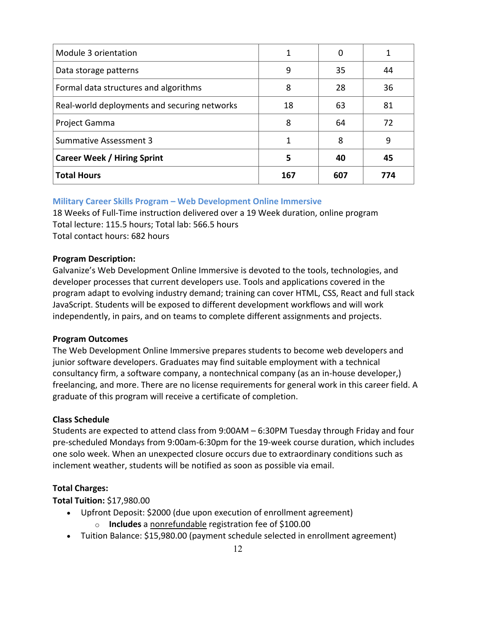| Module 3 orientation                         | 1   |     |     |
|----------------------------------------------|-----|-----|-----|
| Data storage patterns                        | 9   | 35  | 44  |
| Formal data structures and algorithms        | 8   | 28  | 36  |
| Real-world deployments and securing networks | 18  | 63  | 81  |
| Project Gamma                                | 8   | 64  | 72  |
| <b>Summative Assessment 3</b>                | 1   | 8   | 9   |
| <b>Career Week / Hiring Sprint</b>           | 5   | 40  | 45  |
| <b>Total Hours</b>                           | 167 | 607 | 774 |

# **Military Career Skills Program – Web Development Online Immersive**

18 Weeks of Full-Time instruction delivered over a 19 Week duration, online program Total lecture: 115.5 hours; Total lab: 566.5 hours Total contact hours: 682 hours

# **Program Description:**

Galvanize's Web Development Online Immersive is devoted to the tools, technologies, and developer processes that current developers use. Tools and applications covered in the program adapt to evolving industry demand; training can cover HTML, CSS, React and full stack JavaScript. Students will be exposed to different development workflows and will work independently, in pairs, and on teams to complete different assignments and projects.

# **Program Outcomes**

The Web Development Online Immersive prepares students to become web developers and junior software developers. Graduates may find suitable employment with a technical consultancy firm, a software company, a nontechnical company (as an in-house developer,) freelancing, and more. There are no license requirements for general work in this career field. A graduate of this program will receive a certificate of completion.

# **Class Schedule**

Students are expected to attend class from 9:00AM – 6:30PM Tuesday through Friday and four pre-scheduled Mondays from 9:00am-6:30pm for the 19-week course duration, which includes one solo week. When an unexpected closure occurs due to extraordinary conditions such as inclement weather, students will be notified as soon as possible via email.

# **Total Charges:**

**Total Tuition:** \$17,980.00

- Upfront Deposit: \$2000 (due upon execution of enrollment agreement)
	- o **Includes** a nonrefundable registration fee of \$100.00
- Tuition Balance: \$15,980.00 (payment schedule selected in enrollment agreement)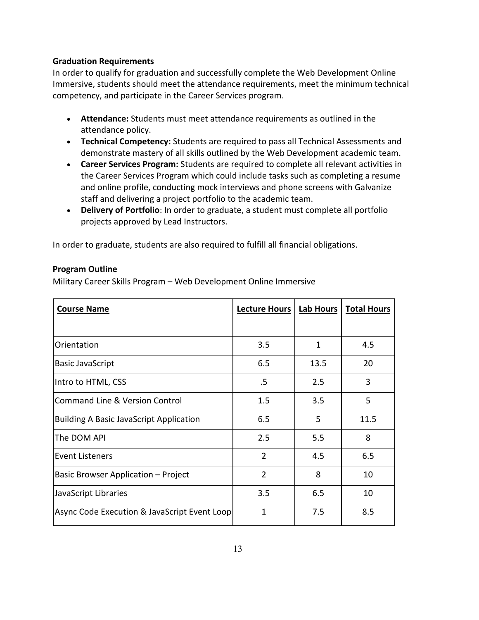# **Graduation Requirements**

In order to qualify for graduation and successfully complete the Web Development Online Immersive, students should meet the attendance requirements, meet the minimum technical competency, and participate in the Career Services program.

- **Attendance:** Students must meet attendance requirements as outlined in the attendance policy.
- **Technical Competency:** Students are required to pass all Technical Assessments and demonstrate mastery of all skills outlined by the Web Development academic team.
- **Career Services Program:** Students are required to complete all relevant activities in the Career Services Program which could include tasks such as completing a resume and online profile, conducting mock interviews and phone screens with Galvanize staff and delivering a project portfolio to the academic team.
- **Delivery of Portfolio**: In order to graduate, a student must complete all portfolio projects approved by Lead Instructors.

In order to graduate, students are also required to fulfill all financial obligations.

# **Program Outline**

Military Career Skills Program – Web Development Online Immersive

| <b>Course Name</b>                             | <b>Lecture Hours</b> | <b>Lab Hours</b> | <b>Total Hours</b> |
|------------------------------------------------|----------------------|------------------|--------------------|
|                                                |                      |                  |                    |
| Orientation                                    | 3.5                  | 1                | 4.5                |
| <b>Basic JavaScript</b>                        | 6.5                  | 13.5             | 20                 |
| Intro to HTML, CSS                             | .5                   | 2.5              | 3                  |
| <b>Command Line &amp; Version Control</b>      | 1.5                  | 3.5              | 5                  |
| <b>Building A Basic JavaScript Application</b> | 6.5                  | 5                | 11.5               |
| The DOM API                                    | 2.5                  | 5.5              | 8                  |
| <b>Event Listeners</b>                         | $\overline{2}$       | 4.5              | 6.5                |
| <b>Basic Browser Application - Project</b>     | $\overline{2}$       | 8                | 10                 |
| JavaScript Libraries                           | 3.5                  | 6.5              | 10                 |
| Async Code Execution & JavaScript Event Loop   | 1                    | 7.5              | 8.5                |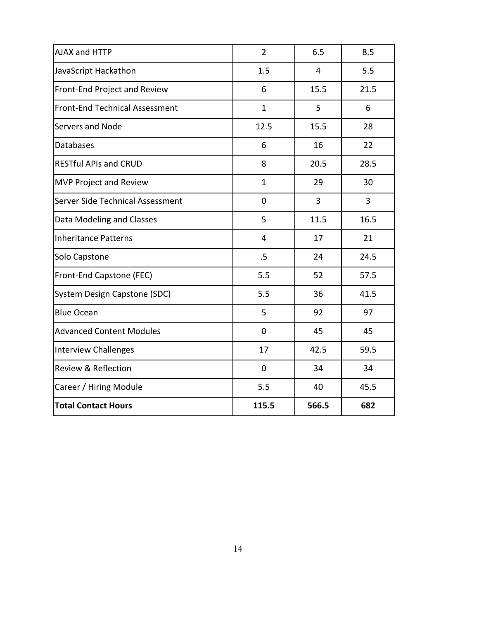| AJAX and HTTP                         | $\overline{2}$ | 6.5   | 8.5  |
|---------------------------------------|----------------|-------|------|
| JavaScript Hackathon                  | 1.5            | 4     | 5.5  |
| Front-End Project and Review          | 6              | 15.5  | 21.5 |
| <b>Front-End Technical Assessment</b> | $\mathbf{1}$   | 5     | 6    |
| Servers and Node                      | 12.5           | 15.5  | 28   |
| Databases                             | 6              | 16    | 22   |
| <b>RESTful APIs and CRUD</b>          | 8              | 20.5  | 28.5 |
| <b>MVP Project and Review</b>         | $\mathbf{1}$   | 29    | 30   |
| Server Side Technical Assessment      | $\mathbf 0$    | 3     | 3    |
| Data Modeling and Classes             | 5              | 11.5  | 16.5 |
| <b>Inheritance Patterns</b>           | 4              | 17    | 21   |
| Solo Capstone                         | .5             | 24    | 24.5 |
| Front-End Capstone (FEC)              | 5.5            | 52    | 57.5 |
| System Design Capstone (SDC)          | 5.5            | 36    | 41.5 |
| <b>Blue Ocean</b>                     | 5              | 92    | 97   |
| <b>Advanced Content Modules</b>       | $\overline{0}$ | 45    | 45   |
| <b>Interview Challenges</b>           | 17             | 42.5  | 59.5 |
| Review & Reflection                   | $\mathbf 0$    | 34    | 34   |
| Career / Hiring Module                | 5.5            | 40    | 45.5 |
| <b>Total Contact Hours</b>            | 115.5          | 566.5 | 682  |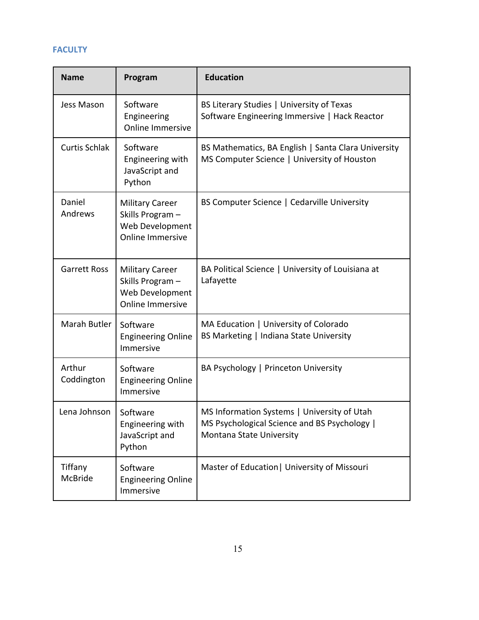# **FACULTY**

| <b>Name</b>          | Program                                                                                 | <b>Education</b>                                                                                                        |
|----------------------|-----------------------------------------------------------------------------------------|-------------------------------------------------------------------------------------------------------------------------|
| Jess Mason           | Software<br>Engineering<br><b>Online Immersive</b>                                      | BS Literary Studies   University of Texas<br>Software Engineering Immersive   Hack Reactor                              |
| <b>Curtis Schlak</b> | Software<br>Engineering with<br>JavaScript and<br>Python                                | BS Mathematics, BA English   Santa Clara University<br>MS Computer Science   University of Houston                      |
| Daniel<br>Andrews    | <b>Military Career</b><br>Skills Program-<br>Web Development<br><b>Online Immersive</b> | BS Computer Science   Cedarville University                                                                             |
| <b>Garrett Ross</b>  | <b>Military Career</b><br>Skills Program-<br>Web Development<br><b>Online Immersive</b> | BA Political Science   University of Louisiana at<br>Lafayette                                                          |
| Marah Butler         | Software<br><b>Engineering Online</b><br>Immersive                                      | MA Education   University of Colorado<br>BS Marketing   Indiana State University                                        |
| Arthur<br>Coddington | Software<br><b>Engineering Online</b><br>Immersive                                      | BA Psychology   Princeton University                                                                                    |
| Lena Johnson         | Software<br>Engineering with<br>JavaScript and<br>Python                                | MS Information Systems   University of Utah<br>MS Psychological Science and BS Psychology  <br>Montana State University |
| Tiffany<br>McBride   | Software<br><b>Engineering Online</b><br>Immersive                                      | Master of Education   University of Missouri                                                                            |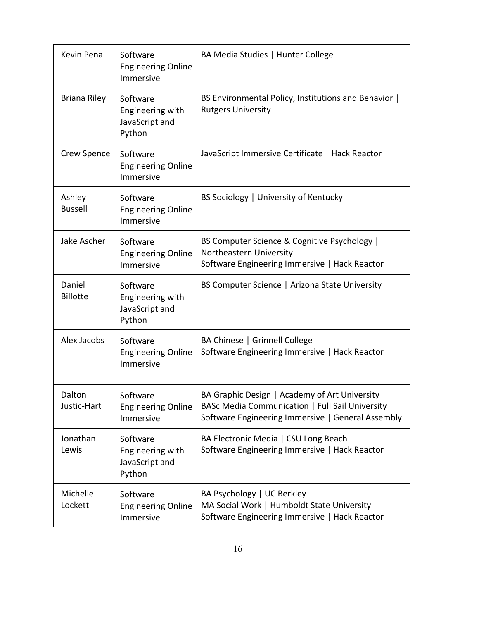| Kevin Pena                | Software<br><b>Engineering Online</b><br>Immersive       | BA Media Studies   Hunter College                                                                                                                     |
|---------------------------|----------------------------------------------------------|-------------------------------------------------------------------------------------------------------------------------------------------------------|
| <b>Briana Riley</b>       | Software<br>Engineering with<br>JavaScript and<br>Python | BS Environmental Policy, Institutions and Behavior  <br><b>Rutgers University</b>                                                                     |
| Crew Spence               | Software<br><b>Engineering Online</b><br>Immersive       | JavaScript Immersive Certificate   Hack Reactor                                                                                                       |
| Ashley<br><b>Bussell</b>  | Software<br><b>Engineering Online</b><br>Immersive       | BS Sociology   University of Kentucky                                                                                                                 |
| Jake Ascher               | Software<br><b>Engineering Online</b><br>Immersive       | BS Computer Science & Cognitive Psychology  <br>Northeastern University<br>Software Engineering Immersive   Hack Reactor                              |
| Daniel<br><b>Billotte</b> | Software<br>Engineering with<br>JavaScript and<br>Python | BS Computer Science   Arizona State University                                                                                                        |
| Alex Jacobs               | Software<br><b>Engineering Online</b><br>Immersive       | BA Chinese   Grinnell College<br>Software Engineering Immersive   Hack Reactor                                                                        |
| Dalton<br>Justic-Hart     | Software<br><b>Engineering Online</b><br>Immersive       | BA Graphic Design   Academy of Art University<br>BASc Media Communication   Full Sail University<br>Software Engineering Immersive   General Assembly |
| Jonathan<br>Lewis         | Software<br>Engineering with<br>JavaScript and<br>Python | BA Electronic Media   CSU Long Beach<br>Software Engineering Immersive   Hack Reactor                                                                 |
| Michelle<br>Lockett       | Software<br><b>Engineering Online</b><br>Immersive       | BA Psychology   UC Berkley<br>MA Social Work   Humboldt State University<br>Software Engineering Immersive   Hack Reactor                             |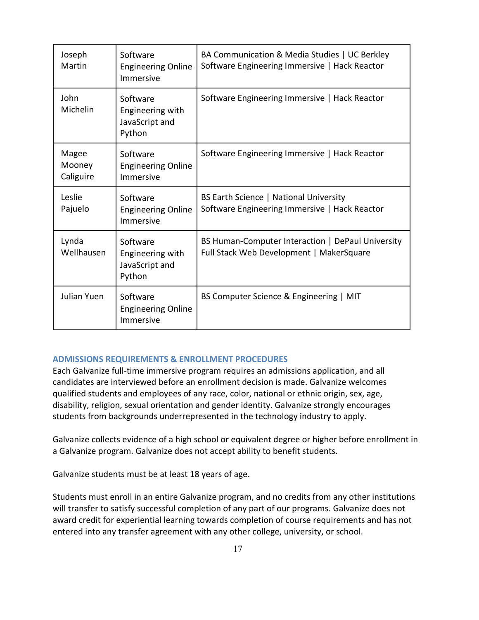| Joseph<br>Martin             | Software<br><b>Engineering Online</b><br>Immersive       | BA Communication & Media Studies   UC Berkley<br>Software Engineering Immersive   Hack Reactor |
|------------------------------|----------------------------------------------------------|------------------------------------------------------------------------------------------------|
| John<br>Michelin             | Software<br>Engineering with<br>JavaScript and<br>Python | Software Engineering Immersive   Hack Reactor                                                  |
| Magee<br>Mooney<br>Caliguire | Software<br><b>Engineering Online</b><br>Immersive       | Software Engineering Immersive   Hack Reactor                                                  |
| Leslie<br>Pajuelo            | Software<br><b>Engineering Online</b><br>Immersive       | BS Earth Science   National University<br>Software Engineering Immersive   Hack Reactor        |
| Lynda<br>Wellhausen          | Software<br>Engineering with<br>JavaScript and<br>Python | BS Human-Computer Interaction   DePaul University<br>Full Stack Web Development   MakerSquare  |
| Julian Yuen                  | Software<br><b>Engineering Online</b><br>Immersive       | BS Computer Science & Engineering   MIT                                                        |

# **ADMISSIONS REQUIREMENTS & ENROLLMENT PROCEDURES**

Each Galvanize full-time immersive program requires an admissions application, and all candidates are interviewed before an enrollment decision is made. Galvanize welcomes qualified students and employees of any race, color, national or ethnic origin, sex, age, disability, religion, sexual orientation and gender identity. Galvanize strongly encourages students from backgrounds underrepresented in the technology industry to apply.

Galvanize collects evidence of a high school or equivalent degree or higher before enrollment in a Galvanize program. Galvanize does not accept ability to benefit students.

Galvanize students must be at least 18 years of age.

Students must enroll in an entire Galvanize program, and no credits from any other institutions will transfer to satisfy successful completion of any part of our programs. Galvanize does not award credit for experiential learning towards completion of course requirements and has not entered into any transfer agreement with any other college, university, or school.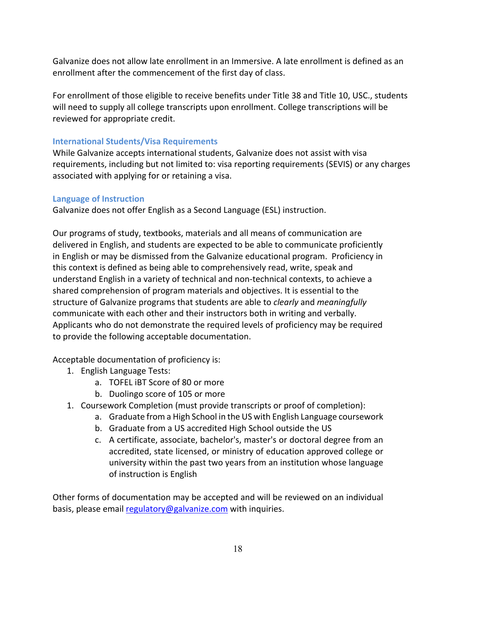Galvanize does not allow late enrollment in an Immersive. A late enrollment is defined as an enrollment after the commencement of the first day of class.

For enrollment of those eligible to receive benefits under Title 38 and Title 10, USC., students will need to supply all college transcripts upon enrollment. College transcriptions will be reviewed for appropriate credit.

# **International Students/Visa Requirements**

While Galvanize accepts international students, Galvanize does not assist with visa requirements, including but not limited to: visa reporting requirements (SEVIS) or any charges associated with applying for or retaining a visa.

# **Language of Instruction**

Galvanize does not offer English as a Second Language (ESL) instruction.

Our programs of study, textbooks, materials and all means of communication are delivered in English, and students are expected to be able to communicate proficiently in English or may be dismissed from the Galvanize educational program. Proficiency in this context is defined as being able to comprehensively read, write, speak and understand English in a variety of technical and non-technical contexts, to achieve a shared comprehension of program materials and objectives. It is essential to the structure of Galvanize programs that students are able to *clearly* and *meaningfully* communicate with each other and their instructors both in writing and verbally. Applicants who do not demonstrate the required levels of proficiency may be required to provide the following acceptable documentation.

Acceptable documentation of proficiency is:

- 1. English Language Tests:
	- a. TOFEL iBT Score of 80 or more
	- b. Duolingo score of 105 or more
- 1. Coursework Completion (must provide transcripts or proof of completion):
	- a. Graduate from a High School in the US with English Language coursework
	- b. Graduate from a US accredited High School outside the US
	- c. A certificate, associate, bachelor's, master's or doctoral degree from an accredited, state licensed, or ministry of education approved college or university within the past two years from an institution whose language of instruction is English

Other forms of documentation may be accepted and will be reviewed on an individual basis, please email regulatory@galvanize.com with inquiries.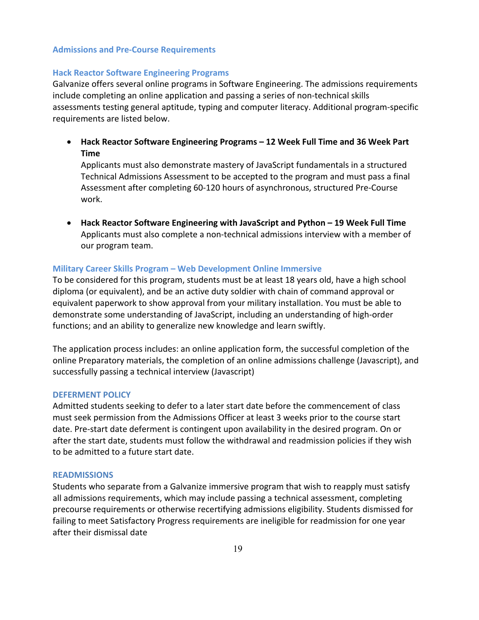## **Admissions and Pre-Course Requirements**

## **Hack Reactor Software Engineering Programs**

Galvanize offers several online programs in Software Engineering. The admissions requirements include completing an online application and passing a series of non-technical skills assessments testing general aptitude, typing and computer literacy. Additional program-specific requirements are listed below.

• **Hack Reactor Software Engineering Programs – 12 Week Full Time and 36 Week Part Time**

Applicants must also demonstrate mastery of JavaScript fundamentals in a structured Technical Admissions Assessment to be accepted to the program and must pass a final Assessment after completing 60-120 hours of asynchronous, structured Pre-Course work.

• **Hack Reactor Software Engineering with JavaScript and Python – 19 Week Full Time** Applicants must also complete a non-technical admissions interview with a member of our program team.

## **Military Career Skills Program – Web Development Online Immersive**

To be considered for this program, students must be at least 18 years old, have a high school diploma (or equivalent), and be an active duty soldier with chain of command approval or equivalent paperwork to show approval from your military installation. You must be able to demonstrate some understanding of JavaScript, including an understanding of high-order functions; and an ability to generalize new knowledge and learn swiftly.

The application process includes: an online application form, the successful completion of the online Preparatory materials, the completion of an online admissions challenge (Javascript), and successfully passing a technical interview (Javascript)

#### **DEFERMENT POLICY**

Admitted students seeking to defer to a later start date before the commencement of class must seek permission from the Admissions Officer at least 3 weeks prior to the course start date. Pre-start date deferment is contingent upon availability in the desired program. On or after the start date, students must follow the withdrawal and readmission policies if they wish to be admitted to a future start date.

#### **READMISSIONS**

Students who separate from a Galvanize immersive program that wish to reapply must satisfy all admissions requirements, which may include passing a technical assessment, completing precourse requirements or otherwise recertifying admissions eligibility. Students dismissed for failing to meet Satisfactory Progress requirements are ineligible for readmission for one year after their dismissal date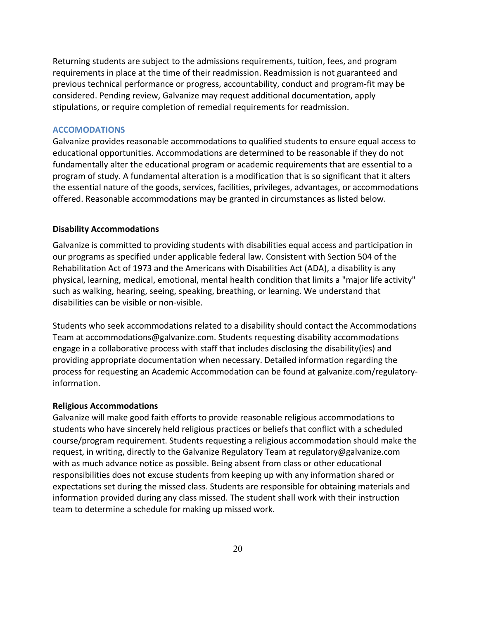Returning students are subject to the admissions requirements, tuition, fees, and program requirements in place at the time of their readmission. Readmission is not guaranteed and previous technical performance or progress, accountability, conduct and program-fit may be considered. Pending review, Galvanize may request additional documentation, apply stipulations, or require completion of remedial requirements for readmission.

#### **ACCOMODATIONS**

Galvanize provides reasonable accommodations to qualified students to ensure equal access to educational opportunities. Accommodations are determined to be reasonable if they do not fundamentally alter the educational program or academic requirements that are essential to a program of study. A fundamental alteration is a modification that is so significant that it alters the essential nature of the goods, services, facilities, privileges, advantages, or accommodations offered. Reasonable accommodations may be granted in circumstances as listed below.

#### **Disability Accommodations**

Galvanize is committed to providing students with disabilities equal access and participation in our programs as specified under applicable federal law. Consistent with Section 504 of the Rehabilitation Act of 1973 and the Americans with Disabilities Act (ADA), a disability is any physical, learning, medical, emotional, mental health condition that limits a "major life activity" such as walking, hearing, seeing, speaking, breathing, or learning. We understand that disabilities can be visible or non-visible.

Students who seek accommodations related to a disability should contact the Accommodations Team at accommodations@galvanize.com. Students requesting disability accommodations engage in a collaborative process with staff that includes disclosing the disability(ies) and providing appropriate documentation when necessary. Detailed information regarding the process for requesting an Academic Accommodation can be found at galvanize.com/regulatoryinformation.

## **Religious Accommodations**

Galvanize will make good faith efforts to provide reasonable religious accommodations to students who have sincerely held religious practices or beliefs that conflict with a scheduled course/program requirement. Students requesting a religious accommodation should make the request, in writing, directly to the Galvanize Regulatory Team at regulatory@galvanize.com with as much advance notice as possible. Being absent from class or other educational responsibilities does not excuse students from keeping up with any information shared or expectations set during the missed class. Students are responsible for obtaining materials and information provided during any class missed. The student shall work with their instruction team to determine a schedule for making up missed work.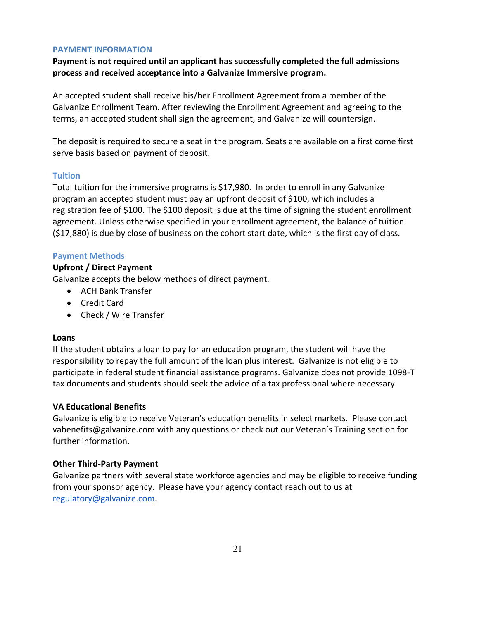# **PAYMENT INFORMATION**

**Payment is not required until an applicant has successfully completed the full admissions process and received acceptance into a Galvanize Immersive program.** 

An accepted student shall receive his/her Enrollment Agreement from a member of the Galvanize Enrollment Team. After reviewing the Enrollment Agreement and agreeing to the terms, an accepted student shall sign the agreement, and Galvanize will countersign.

The deposit is required to secure a seat in the program. Seats are available on a first come first serve basis based on payment of deposit.

# **Tuition**

Total tuition for the immersive programs is \$17,980. In order to enroll in any Galvanize program an accepted student must pay an upfront deposit of \$100, which includes a registration fee of \$100. The \$100 deposit is due at the time of signing the student enrollment agreement. Unless otherwise specified in your enrollment agreement, the balance of tuition (\$17,880) is due by close of business on the cohort start date, which is the first day of class.

# **Payment Methods**

# **Upfront / Direct Payment**

Galvanize accepts the below methods of direct payment.

- ACH Bank Transfer
- Credit Card
- Check / Wire Transfer

# **Loans**

If the student obtains a loan to pay for an education program, the student will have the responsibility to repay the full amount of the loan plus interest. Galvanize is not eligible to participate in federal student financial assistance programs. Galvanize does not provide 1098-T tax documents and students should seek the advice of a tax professional where necessary.

# **VA Educational Benefits**

Galvanize is eligible to receive Veteran's education benefits in select markets. Please contact vabenefits@galvanize.com with any questions or check out our Veteran's Training section for further information.

# **Other Third-Party Payment**

Galvanize partners with several state workforce agencies and may be eligible to receive funding from your sponsor agency. Please have your agency contact reach out to us at regulatory@galvanize.com.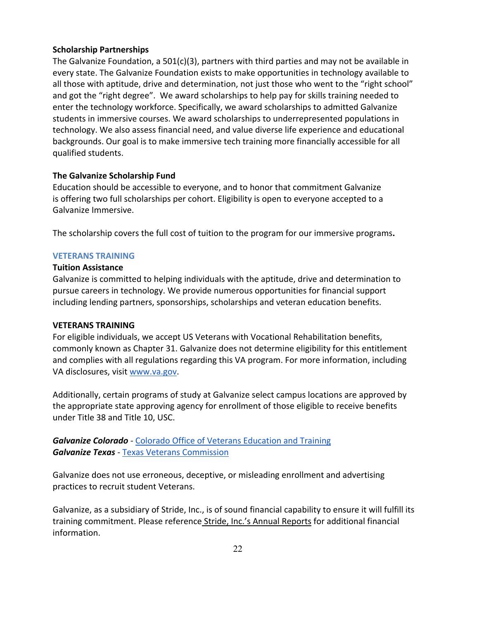# **Scholarship Partnerships**

The Galvanize Foundation, a 501(c)(3), partners with third parties and may not be available in every state. The Galvanize Foundation exists to make opportunities in technology available to all those with aptitude, drive and determination, not just those who went to the "right school" and got the "right degree". We award scholarships to help pay for skills training needed to enter the technology workforce. Specifically, we award scholarships to admitted Galvanize students in immersive courses. We award scholarships to underrepresented populations in technology. We also assess financial need, and value diverse life experience and educational backgrounds. Our goal is to make immersive tech training more financially accessible for all qualified students.

# **The Galvanize Scholarship Fund**

Education should be accessible to everyone, and to honor that commitment Galvanize is offering two full scholarships per cohort. Eligibility is open to everyone accepted to a Galvanize Immersive.

The scholarship covers the full cost of tuition to the program for our immersive programs**.**

# **VETERANS TRAINING**

# **Tuition Assistance**

Galvanize is committed to helping individuals with the aptitude, drive and determination to pursue careers in technology. We provide numerous opportunities for financial support including lending partners, sponsorships, scholarships and veteran education benefits.

# **VETERANS TRAINING**

For eligible individuals, we accept US Veterans with Vocational Rehabilitation benefits, commonly known as Chapter 31. Galvanize does not determine eligibility for this entitlement and complies with all regulations regarding this VA program. For more information, including VA disclosures, visit www.va.gov.

Additionally, certain programs of study at Galvanize select campus locations are approved by the appropriate state approving agency for enrollment of those eligible to receive benefits under Title 38 and Title 10, USC.

*Galvanize Colorado* - Colorado Office of Veterans Education and Training *Galvanize Texas* - Texas Veterans Commission

Galvanize does not use erroneous, deceptive, or misleading enrollment and advertising practices to recruit student Veterans.

Galvanize, as a subsidiary of Stride, Inc., is of sound financial capability to ensure it will fulfill its training commitment. Please reference Stride, Inc.'s Annual Reports for additional financial information.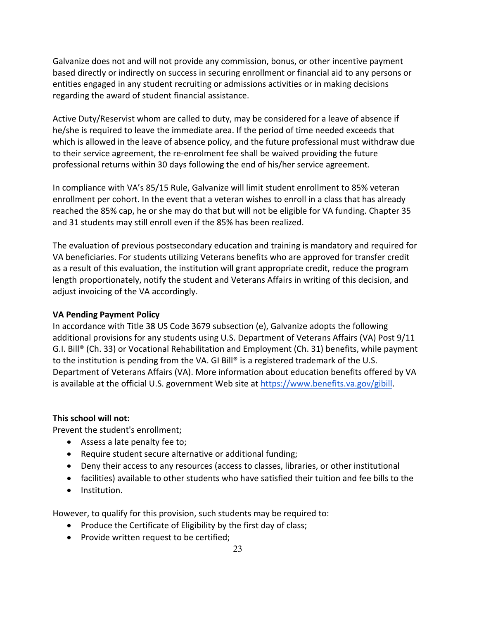Galvanize does not and will not provide any commission, bonus, or other incentive payment based directly or indirectly on success in securing enrollment or financial aid to any persons or entities engaged in any student recruiting or admissions activities or in making decisions regarding the award of student financial assistance.

Active Duty/Reservist whom are called to duty, may be considered for a leave of absence if he/she is required to leave the immediate area. If the period of time needed exceeds that which is allowed in the leave of absence policy, and the future professional must withdraw due to their service agreement, the re-enrolment fee shall be waived providing the future professional returns within 30 days following the end of his/her service agreement.

In compliance with VA's 85/15 Rule, Galvanize will limit student enrollment to 85% veteran enrollment per cohort. In the event that a veteran wishes to enroll in a class that has already reached the 85% cap, he or she may do that but will not be eligible for VA funding. Chapter 35 and 31 students may still enroll even if the 85% has been realized.

The evaluation of previous postsecondary education and training is mandatory and required for VA beneficiaries. For students utilizing Veterans benefits who are approved for transfer credit as a result of this evaluation, the institution will grant appropriate credit, reduce the program length proportionately, notify the student and Veterans Affairs in writing of this decision, and adjust invoicing of the VA accordingly.

# **VA Pending Payment Policy**

In accordance with Title 38 US Code 3679 subsection (e), Galvanize adopts the following additional provisions for any students using U.S. Department of Veterans Affairs (VA) Post 9/11 G.I. Bill® (Ch. 33) or Vocational Rehabilitation and Employment (Ch. 31) benefits, while payment to the institution is pending from the VA. GI Bill® is a registered trademark of the U.S. Department of Veterans Affairs (VA). More information about education benefits offered by VA is available at the official U.S. government Web site at https://www.benefits.va.gov/gibill.

# **This school will not:**

Prevent the student's enrollment;

- Assess a late penalty fee to;
- Require student secure alternative or additional funding;
- Deny their access to any resources (access to classes, libraries, or other institutional
- facilities) available to other students who have satisfied their tuition and fee bills to the
- Institution.

However, to qualify for this provision, such students may be required to:

- Produce the Certificate of Eligibility by the first day of class;
- Provide written request to be certified;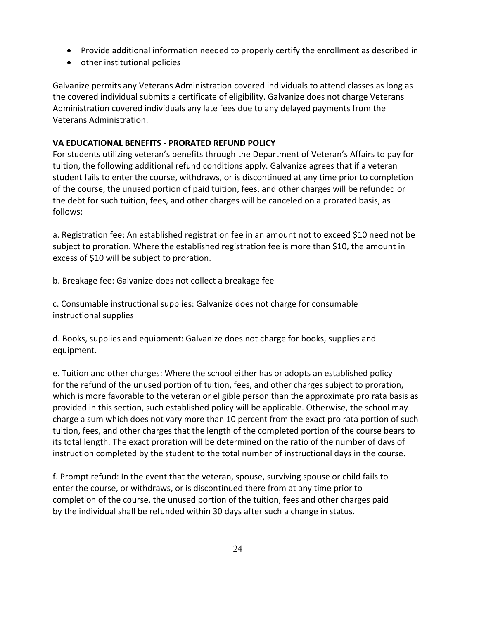- Provide additional information needed to properly certify the enrollment as described in
- other institutional policies

Galvanize permits any Veterans Administration covered individuals to attend classes as long as the covered individual submits a certificate of eligibility. Galvanize does not charge Veterans Administration covered individuals any late fees due to any delayed payments from the Veterans Administration.

# **VA EDUCATIONAL BENEFITS - PRORATED REFUND POLICY**

For students utilizing veteran's benefits through the Department of Veteran's Affairs to pay for tuition, the following additional refund conditions apply. Galvanize agrees that if a veteran student fails to enter the course, withdraws, or is discontinued at any time prior to completion of the course, the unused portion of paid tuition, fees, and other charges will be refunded or the debt for such tuition, fees, and other charges will be canceled on a prorated basis, as follows:

a. Registration fee: An established registration fee in an amount not to exceed \$10 need not be subject to proration. Where the established registration fee is more than \$10, the amount in excess of \$10 will be subject to proration.

b. Breakage fee: Galvanize does not collect a breakage fee

c. Consumable instructional supplies: Galvanize does not charge for consumable instructional supplies

d. Books, supplies and equipment: Galvanize does not charge for books, supplies and equipment.

e. Tuition and other charges: Where the school either has or adopts an established policy for the refund of the unused portion of tuition, fees, and other charges subject to proration, which is more favorable to the veteran or eligible person than the approximate pro rata basis as provided in this section, such established policy will be applicable. Otherwise, the school may charge a sum which does not vary more than 10 percent from the exact pro rata portion of such tuition, fees, and other charges that the length of the completed portion of the course bears to its total length. The exact proration will be determined on the ratio of the number of days of instruction completed by the student to the total number of instructional days in the course.

f. Prompt refund: In the event that the veteran, spouse, surviving spouse or child fails to enter the course, or withdraws, or is discontinued there from at any time prior to completion of the course, the unused portion of the tuition, fees and other charges paid by the individual shall be refunded within 30 days after such a change in status.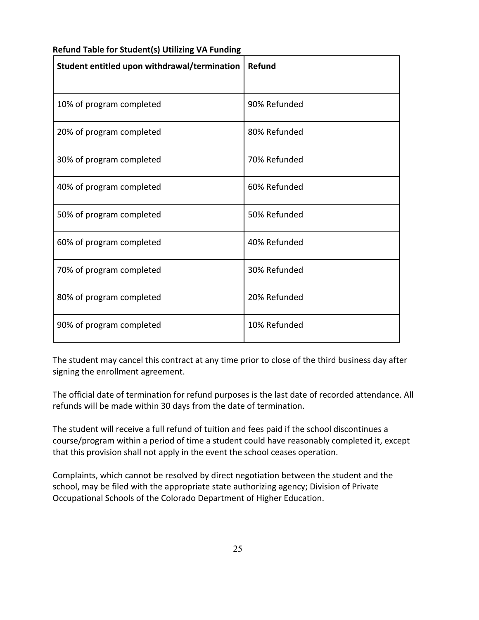| Student entitled upon withdrawal/termination | Refund       |
|----------------------------------------------|--------------|
| 10% of program completed                     | 90% Refunded |
| 20% of program completed                     | 80% Refunded |
| 30% of program completed                     | 70% Refunded |
| 40% of program completed                     | 60% Refunded |
| 50% of program completed                     | 50% Refunded |
| 60% of program completed                     | 40% Refunded |
| 70% of program completed                     | 30% Refunded |
| 80% of program completed                     | 20% Refunded |
| 90% of program completed                     | 10% Refunded |

# **Refund Table for Student(s) Utilizing VA Funding**

The student may cancel this contract at any time prior to close of the third business day after signing the enrollment agreement.

The official date of termination for refund purposes is the last date of recorded attendance. All refunds will be made within 30 days from the date of termination.

The student will receive a full refund of tuition and fees paid if the school discontinues a course/program within a period of time a student could have reasonably completed it, except that this provision shall not apply in the event the school ceases operation.

Complaints, which cannot be resolved by direct negotiation between the student and the school, may be filed with the appropriate state authorizing agency; Division of Private Occupational Schools of the Colorado Department of Higher Education.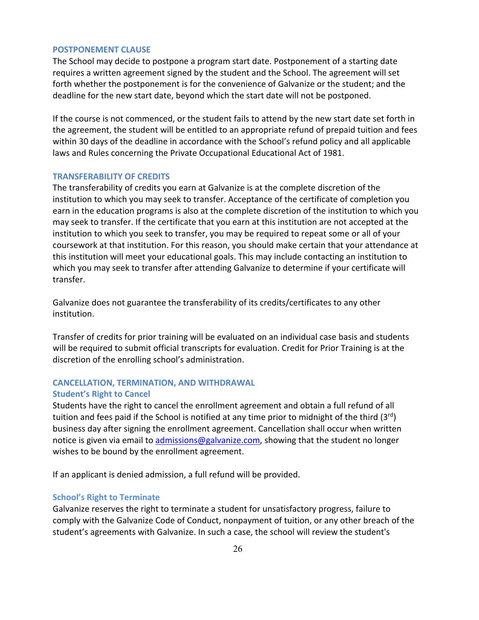#### **POSTPONEMENT CLAUSE**

The School may decide to postpone a program start date. Postponement of a starting date requires a written agreement signed by the student and the School. The agreement will set forth whether the postponement is for the convenience of Galvanize or the student; and the deadline for the new start date, beyond which the start date will not be postponed.

If the course is not commenced, or the student fails to attend by the new start date set forth in the agreement, the student will be entitled to an appropriate refund of prepaid tuition and fees within 30 days of the deadline in accordance with the School's refund policy and all applicable laws and Rules concerning the Private Occupational Educational Act of 1981.

## **TRANSFERABILITY OF CREDITS**

The transferability of credits you earn at Galvanize is at the complete discretion of the institution to which you may seek to transfer. Acceptance of the certificate of completion you earn in the education programs is also at the complete discretion of the institution to which you may seek to transfer. If the certificate that you earn at this institution are not accepted at the institution to which you seek to transfer, you may be required to repeat some or all of your coursework at that institution. For this reason, you should make certain that your attendance at this institution will meet your educational goals. This may include contacting an institution to which you may seek to transfer after attending Galvanize to determine if your certificate will transfer.

Galvanize does not guarantee the transferability of its credits/certificates to any other institution.

Transfer of credits for prior training will be evaluated on an individual case basis and students will be required to submit official transcripts for evaluation. Credit for Prior Training is at the discretion of the enrolling school's administration.

# **CANCELLATION, TERMINATION, AND WITHDRAWAL Student's Right to Cancel**

Students have the right to cancel the enrollment agreement and obtain a full refund of all tuition and fees paid if the School is notified at any time prior to midnight of the third  $(3^{rd})$ business day after signing the enrollment agreement. Cancellation shall occur when written notice is given via email to admissions@galvanize.com, showing that the student no longer wishes to be bound by the enrollment agreement.

If an applicant is denied admission, a full refund will be provided.

## **School's Right to Terminate**

Galvanize reserves the right to terminate a student for unsatisfactory progress, failure to comply with the Galvanize Code of Conduct, nonpayment of tuition, or any other breach of the student's agreements with Galvanize. In such a case, the school will review the student's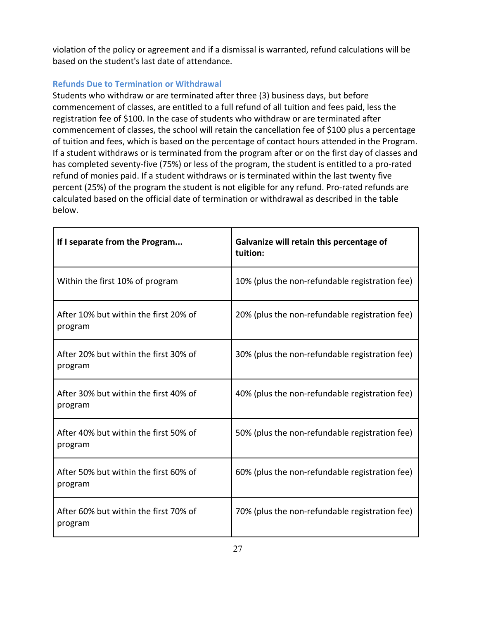violation of the policy or agreement and if a dismissal is warranted, refund calculations will be based on the student's last date of attendance.

# **Refunds Due to Termination or Withdrawal**

Students who withdraw or are terminated after three (3) business days, but before commencement of classes, are entitled to a full refund of all tuition and fees paid, less the registration fee of \$100. In the case of students who withdraw or are terminated after commencement of classes, the school will retain the cancellation fee of \$100 plus a percentage of tuition and fees, which is based on the percentage of contact hours attended in the Program. If a student withdraws or is terminated from the program after or on the first day of classes and has completed seventy-five (75%) or less of the program, the student is entitled to a pro-rated refund of monies paid. If a student withdraws or is terminated within the last twenty five percent (25%) of the program the student is not eligible for any refund. Pro-rated refunds are calculated based on the official date of termination or withdrawal as described in the table below.

| If I separate from the Program                   | Galvanize will retain this percentage of<br>tuition: |
|--------------------------------------------------|------------------------------------------------------|
| Within the first 10% of program                  | 10% (plus the non-refundable registration fee)       |
| After 10% but within the first 20% of<br>program | 20% (plus the non-refundable registration fee)       |
| After 20% but within the first 30% of<br>program | 30% (plus the non-refundable registration fee)       |
| After 30% but within the first 40% of<br>program | 40% (plus the non-refundable registration fee)       |
| After 40% but within the first 50% of<br>program | 50% (plus the non-refundable registration fee)       |
| After 50% but within the first 60% of<br>program | 60% (plus the non-refundable registration fee)       |
| After 60% but within the first 70% of<br>program | 70% (plus the non-refundable registration fee)       |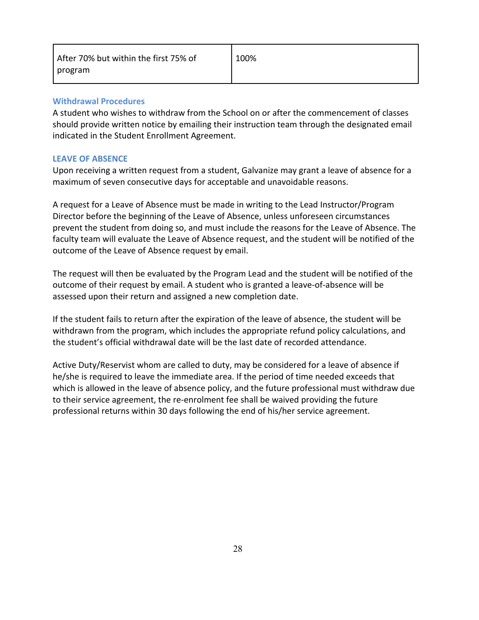# **Withdrawal Procedures**

A student who wishes to withdraw from the School on or after the commencement of classes should provide written notice by emailing their instruction team through the designated email indicated in the Student Enrollment Agreement.

# **LEAVE OF ABSENCE**

Upon receiving a written request from a student, Galvanize may grant a leave of absence for a maximum of seven consecutive days for acceptable and unavoidable reasons.

A request for a Leave of Absence must be made in writing to the Lead Instructor/Program Director before the beginning of the Leave of Absence, unless unforeseen circumstances prevent the student from doing so, and must include the reasons for the Leave of Absence. The faculty team will evaluate the Leave of Absence request, and the student will be notified of the outcome of the Leave of Absence request by email.

The request will then be evaluated by the Program Lead and the student will be notified of the outcome of their request by email. A student who is granted a leave-of-absence will be assessed upon their return and assigned a new completion date.

If the student fails to return after the expiration of the leave of absence, the student will be withdrawn from the program, which includes the appropriate refund policy calculations, and the student's official withdrawal date will be the last date of recorded attendance.

Active Duty/Reservist whom are called to duty, may be considered for a leave of absence if he/she is required to leave the immediate area. If the period of time needed exceeds that which is allowed in the leave of absence policy, and the future professional must withdraw due to their service agreement, the re-enrolment fee shall be waived providing the future professional returns within 30 days following the end of his/her service agreement.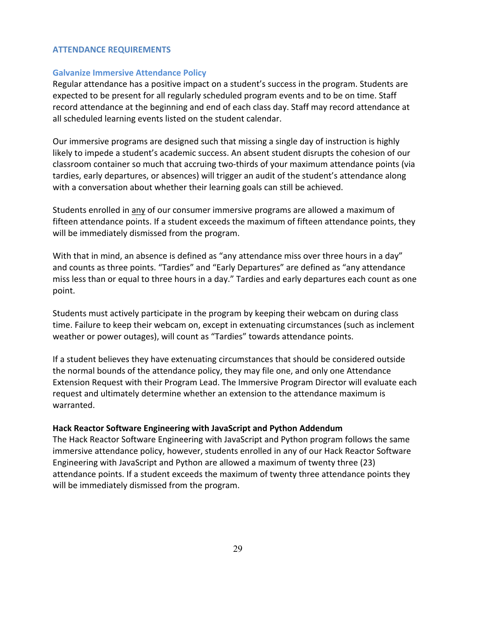# **ATTENDANCE REQUIREMENTS**

## **Galvanize Immersive Attendance Policy**

Regular attendance has a positive impact on a student's success in the program. Students are expected to be present for all regularly scheduled program events and to be on time. Staff record attendance at the beginning and end of each class day. Staff may record attendance at all scheduled learning events listed on the student calendar.

Our immersive programs are designed such that missing a single day of instruction is highly likely to impede a student's academic success. An absent student disrupts the cohesion of our classroom container so much that accruing two-thirds of your maximum attendance points (via tardies, early departures, or absences) will trigger an audit of the student's attendance along with a conversation about whether their learning goals can still be achieved.

Students enrolled in any of our consumer immersive programs are allowed a maximum of fifteen attendance points. If a student exceeds the maximum of fifteen attendance points, they will be immediately dismissed from the program.

With that in mind, an absence is defined as "any attendance miss over three hours in a day" and counts as three points. "Tardies" and "Early Departures" are defined as "any attendance miss less than or equal to three hours in a day." Tardies and early departures each count as one point.

Students must actively participate in the program by keeping their webcam on during class time. Failure to keep their webcam on, except in extenuating circumstances (such as inclement weather or power outages), will count as "Tardies" towards attendance points.

If a student believes they have extenuating circumstances that should be considered outside the normal bounds of the attendance policy, they may file one, and only one Attendance Extension Request with their Program Lead. The Immersive Program Director will evaluate each request and ultimately determine whether an extension to the attendance maximum is warranted.

## **Hack Reactor Software Engineering with JavaScript and Python Addendum**

The Hack Reactor Software Engineering with JavaScript and Python program follows the same immersive attendance policy, however, students enrolled in any of our Hack Reactor Software Engineering with JavaScript and Python are allowed a maximum of twenty three (23) attendance points. If a student exceeds the maximum of twenty three attendance points they will be immediately dismissed from the program.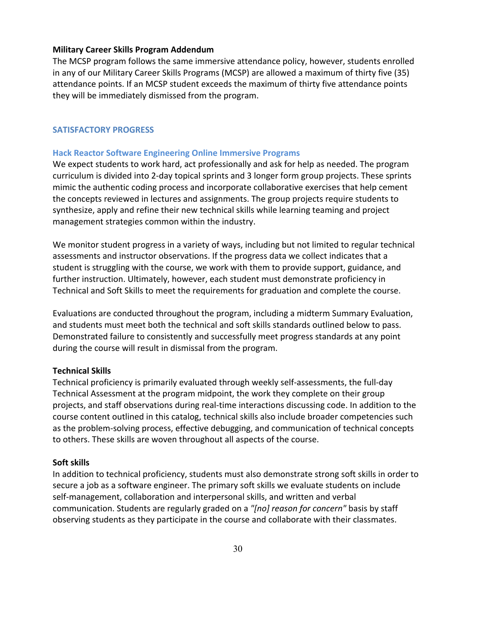#### **Military Career Skills Program Addendum**

The MCSP program follows the same immersive attendance policy, however, students enrolled in any of our Military Career Skills Programs (MCSP) are allowed a maximum of thirty five (35) attendance points. If an MCSP student exceeds the maximum of thirty five attendance points they will be immediately dismissed from the program.

#### **SATISFACTORY PROGRESS**

## **Hack Reactor Software Engineering Online Immersive Programs**

We expect students to work hard, act professionally and ask for help as needed. The program curriculum is divided into 2-day topical sprints and 3 longer form group projects. These sprints mimic the authentic coding process and incorporate collaborative exercises that help cement the concepts reviewed in lectures and assignments. The group projects require students to synthesize, apply and refine their new technical skills while learning teaming and project management strategies common within the industry.

We monitor student progress in a variety of ways, including but not limited to regular technical assessments and instructor observations. If the progress data we collect indicates that a student is struggling with the course, we work with them to provide support, guidance, and further instruction. Ultimately, however, each student must demonstrate proficiency in Technical and Soft Skills to meet the requirements for graduation and complete the course.

Evaluations are conducted throughout the program, including a midterm Summary Evaluation, and students must meet both the technical and soft skills standards outlined below to pass. Demonstrated failure to consistently and successfully meet progress standards at any point during the course will result in dismissal from the program.

## **Technical Skills**

Technical proficiency is primarily evaluated through weekly self-assessments, the full-day Technical Assessment at the program midpoint, the work they complete on their group projects, and staff observations during real-time interactions discussing code. In addition to the course content outlined in this catalog, technical skills also include broader competencies such as the problem-solving process, effective debugging, and communication of technical concepts to others. These skills are woven throughout all aspects of the course.

#### **Soft skills**

In addition to technical proficiency, students must also demonstrate strong soft skills in order to secure a job as a software engineer. The primary soft skills we evaluate students on include self-management, collaboration and interpersonal skills, and written and verbal communication. Students are regularly graded on a *"[no] reason for concern"* basis by staff observing students as they participate in the course and collaborate with their classmates.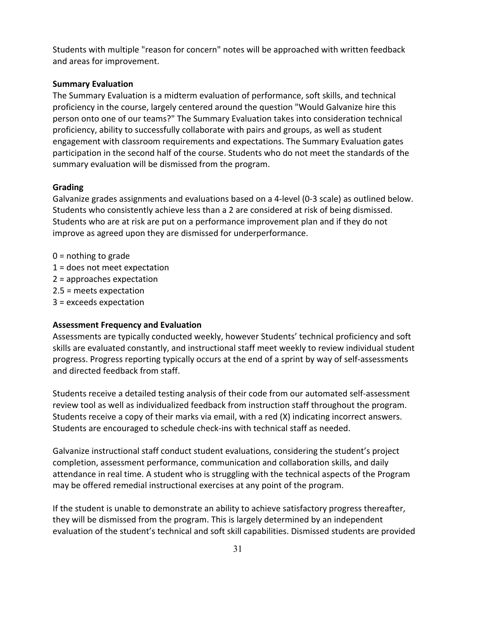Students with multiple "reason for concern" notes will be approached with written feedback and areas for improvement.

# **Summary Evaluation**

The Summary Evaluation is a midterm evaluation of performance, soft skills, and technical proficiency in the course, largely centered around the question "Would Galvanize hire this person onto one of our teams?" The Summary Evaluation takes into consideration technical proficiency, ability to successfully collaborate with pairs and groups, as well as student engagement with classroom requirements and expectations. The Summary Evaluation gates participation in the second half of the course. Students who do not meet the standards of the summary evaluation will be dismissed from the program.

# **Grading**

Galvanize grades assignments and evaluations based on a 4-level (0-3 scale) as outlined below. Students who consistently achieve less than a 2 are considered at risk of being dismissed. Students who are at risk are put on a performance improvement plan and if they do not improve as agreed upon they are dismissed for underperformance.

- $0 =$  nothing to grade
- 1 = does not meet expectation
- 2 = approaches expectation
- 2.5 = meets expectation
- 3 = exceeds expectation

# **Assessment Frequency and Evaluation**

Assessments are typically conducted weekly, however Students' technical proficiency and soft skills are evaluated constantly, and instructional staff meet weekly to review individual student progress. Progress reporting typically occurs at the end of a sprint by way of self-assessments and directed feedback from staff.

Students receive a detailed testing analysis of their code from our automated self-assessment review tool as well as individualized feedback from instruction staff throughout the program. Students receive a copy of their marks via email, with a red (X) indicating incorrect answers. Students are encouraged to schedule check-ins with technical staff as needed.

Galvanize instructional staff conduct student evaluations, considering the student's project completion, assessment performance, communication and collaboration skills, and daily attendance in real time. A student who is struggling with the technical aspects of the Program may be offered remedial instructional exercises at any point of the program.

If the student is unable to demonstrate an ability to achieve satisfactory progress thereafter, they will be dismissed from the program. This is largely determined by an independent evaluation of the student's technical and soft skill capabilities. Dismissed students are provided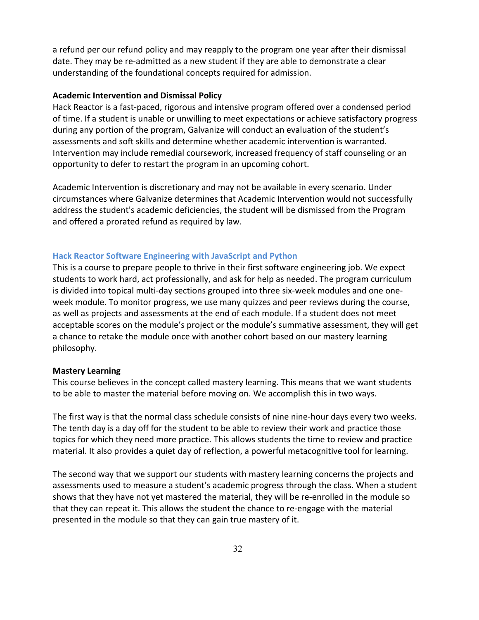a refund per our refund policy and may reapply to the program one year after their dismissal date. They may be re-admitted as a new student if they are able to demonstrate a clear understanding of the foundational concepts required for admission.

# **Academic Intervention and Dismissal Policy**

Hack Reactor is a fast-paced, rigorous and intensive program offered over a condensed period of time. If a student is unable or unwilling to meet expectations or achieve satisfactory progress during any portion of the program, Galvanize will conduct an evaluation of the student's assessments and soft skills and determine whether academic intervention is warranted. Intervention may include remedial coursework, increased frequency of staff counseling or an opportunity to defer to restart the program in an upcoming cohort.

Academic Intervention is discretionary and may not be available in every scenario. Under circumstances where Galvanize determines that Academic Intervention would not successfully address the student's academic deficiencies, the student will be dismissed from the Program and offered a prorated refund as required by law.

#### **Hack Reactor Software Engineering with JavaScript and Python**

This is a course to prepare people to thrive in their first software engineering job. We expect students to work hard, act professionally, and ask for help as needed. The program curriculum is divided into topical multi-day sections grouped into three six-week modules and one oneweek module. To monitor progress, we use many quizzes and peer reviews during the course, as well as projects and assessments at the end of each module. If a student does not meet acceptable scores on the module's project or the module's summative assessment, they will get a chance to retake the module once with another cohort based on our mastery learning philosophy.

#### **Mastery Learning**

This course believes in the concept called mastery learning. This means that we want students to be able to master the material before moving on. We accomplish this in two ways.

The first way is that the normal class schedule consists of nine nine-hour days every two weeks. The tenth day is a day off for the student to be able to review their work and practice those topics for which they need more practice. This allows students the time to review and practice material. It also provides a quiet day of reflection, a powerful metacognitive tool for learning.

The second way that we support our students with mastery learning concerns the projects and assessments used to measure a student's academic progress through the class. When a student shows that they have not yet mastered the material, they will be re-enrolled in the module so that they can repeat it. This allows the student the chance to re-engage with the material presented in the module so that they can gain true mastery of it.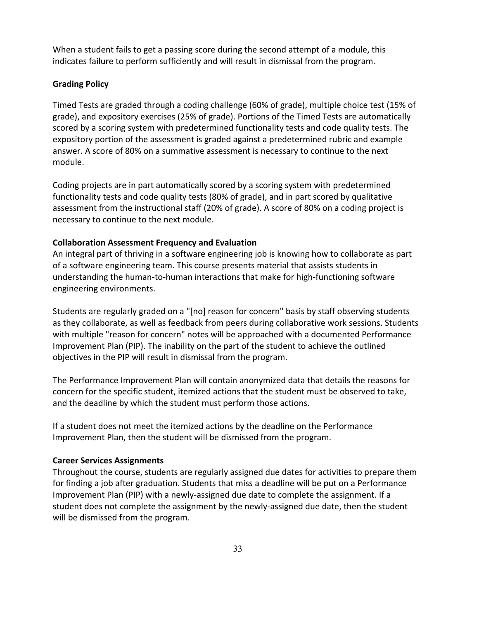When a student fails to get a passing score during the second attempt of a module, this indicates failure to perform sufficiently and will result in dismissal from the program.

# **Grading Policy**

Timed Tests are graded through a coding challenge (60% of grade), multiple choice test (15% of grade), and expository exercises (25% of grade). Portions of the Timed Tests are automatically scored by a scoring system with predetermined functionality tests and code quality tests. The expository portion of the assessment is graded against a predetermined rubric and example answer. A score of 80% on a summative assessment is necessary to continue to the next module.

Coding projects are in part automatically scored by a scoring system with predetermined functionality tests and code quality tests (80% of grade), and in part scored by qualitative assessment from the instructional staff (20% of grade). A score of 80% on a coding project is necessary to continue to the next module.

# **Collaboration Assessment Frequency and Evaluation**

An integral part of thriving in a software engineering job is knowing how to collaborate as part of a software engineering team. This course presents material that assists students in understanding the human-to-human interactions that make for high-functioning software engineering environments.

Students are regularly graded on a "[no] reason for concern" basis by staff observing students as they collaborate, as well as feedback from peers during collaborative work sessions. Students with multiple "reason for concern" notes will be approached with a documented Performance Improvement Plan (PIP). The inability on the part of the student to achieve the outlined objectives in the PIP will result in dismissal from the program.

The Performance Improvement Plan will contain anonymized data that details the reasons for concern for the specific student, itemized actions that the student must be observed to take, and the deadline by which the student must perform those actions.

If a student does not meet the itemized actions by the deadline on the Performance Improvement Plan, then the student will be dismissed from the program.

# **Career Services Assignments**

Throughout the course, students are regularly assigned due dates for activities to prepare them for finding a job after graduation. Students that miss a deadline will be put on a Performance Improvement Plan (PIP) with a newly-assigned due date to complete the assignment. If a student does not complete the assignment by the newly-assigned due date, then the student will be dismissed from the program.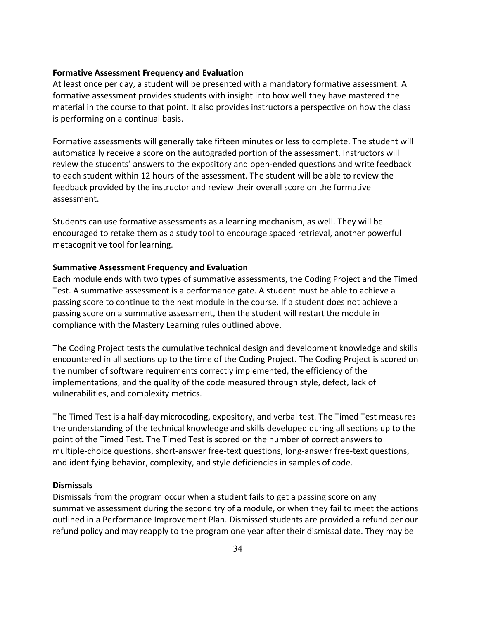## **Formative Assessment Frequency and Evaluation**

At least once per day, a student will be presented with a mandatory formative assessment. A formative assessment provides students with insight into how well they have mastered the material in the course to that point. It also provides instructors a perspective on how the class is performing on a continual basis.

Formative assessments will generally take fifteen minutes or less to complete. The student will automatically receive a score on the autograded portion of the assessment. Instructors will review the students' answers to the expository and open-ended questions and write feedback to each student within 12 hours of the assessment. The student will be able to review the feedback provided by the instructor and review their overall score on the formative assessment.

Students can use formative assessments as a learning mechanism, as well. They will be encouraged to retake them as a study tool to encourage spaced retrieval, another powerful metacognitive tool for learning.

#### **Summative Assessment Frequency and Evaluation**

Each module ends with two types of summative assessments, the Coding Project and the Timed Test. A summative assessment is a performance gate. A student must be able to achieve a passing score to continue to the next module in the course. If a student does not achieve a passing score on a summative assessment, then the student will restart the module in compliance with the Mastery Learning rules outlined above.

The Coding Project tests the cumulative technical design and development knowledge and skills encountered in all sections up to the time of the Coding Project. The Coding Project is scored on the number of software requirements correctly implemented, the efficiency of the implementations, and the quality of the code measured through style, defect, lack of vulnerabilities, and complexity metrics.

The Timed Test is a half-day microcoding, expository, and verbal test. The Timed Test measures the understanding of the technical knowledge and skills developed during all sections up to the point of the Timed Test. The Timed Test is scored on the number of correct answers to multiple-choice questions, short-answer free-text questions, long-answer free-text questions, and identifying behavior, complexity, and style deficiencies in samples of code.

#### **Dismissals**

Dismissals from the program occur when a student fails to get a passing score on any summative assessment during the second try of a module, or when they fail to meet the actions outlined in a Performance Improvement Plan. Dismissed students are provided a refund per our refund policy and may reapply to the program one year after their dismissal date. They may be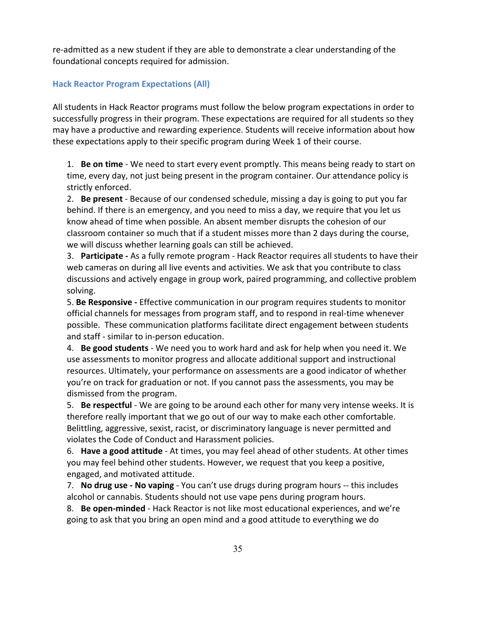re-admitted as a new student if they are able to demonstrate a clear understanding of the foundational concepts required for admission.

# **Hack Reactor Program Expectations (All)**

All students in Hack Reactor programs must follow the below program expectations in order to successfully progress in their program. These expectations are required for all students so they may have a productive and rewarding experience. Students will receive information about how these expectations apply to their specific program during Week 1 of their course.

1. **Be on time** - We need to start every event promptly. This means being ready to start on time, every day, not just being present in the program container. Our attendance policy is strictly enforced.

2. **Be present** - Because of our condensed schedule, missing a day is going to put you far behind. If there is an emergency, and you need to miss a day, we require that you let us know ahead of time when possible. An absent member disrupts the cohesion of our classroom container so much that if a student misses more than 2 days during the course, we will discuss whether learning goals can still be achieved.

3. **Participate -** As a fully remote program - Hack Reactor requires all students to have their web cameras on during all live events and activities. We ask that you contribute to class discussions and actively engage in group work, paired programming, and collective problem solving.

5. **Be Responsive -** Effective communication in our program requires students to monitor official channels for messages from program staff, and to respond in real-time whenever possible. These communication platforms facilitate direct engagement between students and staff - similar to in-person education.

4. **Be good students** - We need you to work hard and ask for help when you need it. We use assessments to monitor progress and allocate additional support and instructional resources. Ultimately, your performance on assessments are a good indicator of whether you're on track for graduation or not. If you cannot pass the assessments, you may be dismissed from the program.

5. **Be respectful** - We are going to be around each other for many very intense weeks. It is therefore really important that we go out of our way to make each other comfortable. Belittling, aggressive, sexist, racist, or discriminatory language is never permitted and violates the Code of Conduct and Harassment policies.

6. **Have a good attitude** - At times, you may feel ahead of other students. At other times you may feel behind other students. However, we request that you keep a positive, engaged, and motivated attitude.

7. **No drug use - No vaping** - You can't use drugs during program hours -- this includes alcohol or cannabis. Students should not use vape pens during program hours.

8. **Be open-minded** - Hack Reactor is not like most educational experiences, and we're going to ask that you bring an open mind and a good attitude to everything we do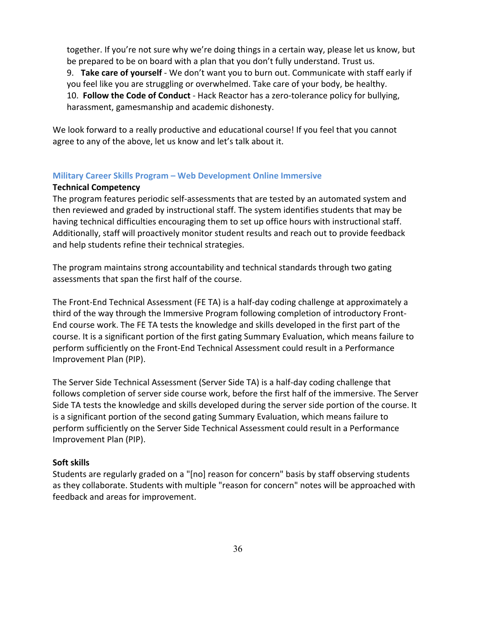together. If you're not sure why we're doing things in a certain way, please let us know, but be prepared to be on board with a plan that you don't fully understand. Trust us.

9. **Take care of yourself** - We don't want you to burn out. Communicate with staff early if you feel like you are struggling or overwhelmed. Take care of your body, be healthy.

10. **Follow the Code of Conduct** - Hack Reactor has a zero-tolerance policy for bullying, harassment, gamesmanship and academic dishonesty.

We look forward to a really productive and educational course! If you feel that you cannot agree to any of the above, let us know and let's talk about it.

# **Military Career Skills Program – Web Development Online Immersive**

# **Technical Competency**

The program features periodic self-assessments that are tested by an automated system and then reviewed and graded by instructional staff. The system identifies students that may be having technical difficulties encouraging them to set up office hours with instructional staff. Additionally, staff will proactively monitor student results and reach out to provide feedback and help students refine their technical strategies.

The program maintains strong accountability and technical standards through two gating assessments that span the first half of the course.

The Front-End Technical Assessment (FE TA) is a half-day coding challenge at approximately a third of the way through the Immersive Program following completion of introductory Front-End course work. The FE TA tests the knowledge and skills developed in the first part of the course. It is a significant portion of the first gating Summary Evaluation, which means failure to perform sufficiently on the Front-End Technical Assessment could result in a Performance Improvement Plan (PIP).

The Server Side Technical Assessment (Server Side TA) is a half-day coding challenge that follows completion of server side course work, before the first half of the immersive. The Server Side TA tests the knowledge and skills developed during the server side portion of the course. It is a significant portion of the second gating Summary Evaluation, which means failure to perform sufficiently on the Server Side Technical Assessment could result in a Performance Improvement Plan (PIP).

# **Soft skills**

Students are regularly graded on a "[no] reason for concern" basis by staff observing students as they collaborate. Students with multiple "reason for concern" notes will be approached with feedback and areas for improvement.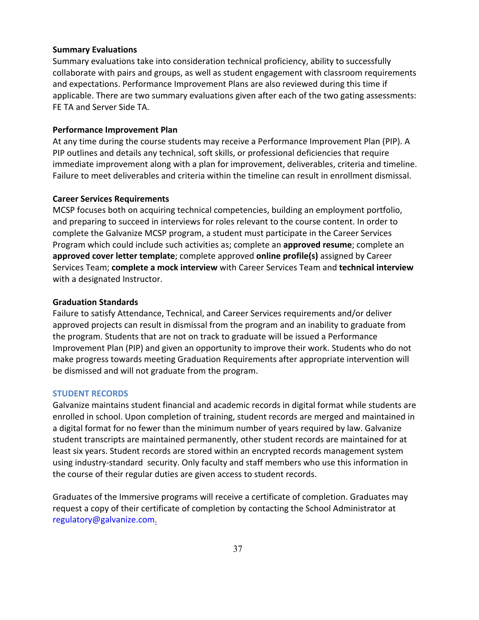## **Summary Evaluations**

Summary evaluations take into consideration technical proficiency, ability to successfully collaborate with pairs and groups, as well as student engagement with classroom requirements and expectations. Performance Improvement Plans are also reviewed during this time if applicable. There are two summary evaluations given after each of the two gating assessments: FE TA and Server Side TA.

#### **Performance Improvement Plan**

At any time during the course students may receive a Performance Improvement Plan (PIP). A PIP outlines and details any technical, soft skills, or professional deficiencies that require immediate improvement along with a plan for improvement, deliverables, criteria and timeline. Failure to meet deliverables and criteria within the timeline can result in enrollment dismissal.

# **Career Services Requirements**

MCSP focuses both on acquiring technical competencies, building an employment portfolio, and preparing to succeed in interviews for roles relevant to the course content. In order to complete the Galvanize MCSP program, a student must participate in the Career Services Program which could include such activities as; complete an **approved resume**; complete an **approved cover letter template**; complete approved **online profile(s)** assigned by Career Services Team; **complete a mock interview** with Career Services Team and **technical interview**  with a designated Instructor.

## **Graduation Standards**

Failure to satisfy Attendance, Technical, and Career Services requirements and/or deliver approved projects can result in dismissal from the program and an inability to graduate from the program. Students that are not on track to graduate will be issued a Performance Improvement Plan (PIP) and given an opportunity to improve their work. Students who do not make progress towards meeting Graduation Requirements after appropriate intervention will be dismissed and will not graduate from the program.

## **STUDENT RECORDS**

Galvanize maintains student financial and academic records in digital format while students are enrolled in school. Upon completion of training, student records are merged and maintained in a digital format for no fewer than the minimum number of years required by law. Galvanize student transcripts are maintained permanently, other student records are maintained for at least six years. Student records are stored within an encrypted records management system using industry-standard security. Only faculty and staff members who use this information in the course of their regular duties are given access to student records.

Graduates of the Immersive programs will receive a certificate of completion. Graduates may request a copy of their certificate of completion by contacting the School Administrator at regulatory@galvanize.com.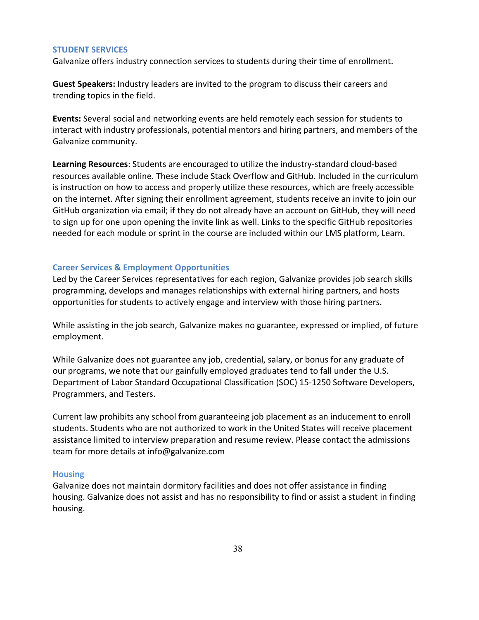#### **STUDENT SERVICES**

Galvanize offers industry connection services to students during their time of enrollment.

**Guest Speakers:** Industry leaders are invited to the program to discuss their careers and trending topics in the field.

**Events:** Several social and networking events are held remotely each session for students to interact with industry professionals, potential mentors and hiring partners, and members of the Galvanize community.

**Learning Resources**: Students are encouraged to utilize the industry-standard cloud-based resources available online. These include Stack Overflow and GitHub. Included in the curriculum is instruction on how to access and properly utilize these resources, which are freely accessible on the internet. After signing their enrollment agreement, students receive an invite to join our GitHub organization via email; if they do not already have an account on GitHub, they will need to sign up for one upon opening the invite link as well. Links to the specific GitHub repositories needed for each module or sprint in the course are included within our LMS platform, Learn.

# **Career Services & Employment Opportunities**

Led by the Career Services representatives for each region, Galvanize provides job search skills programming, develops and manages relationships with external hiring partners, and hosts opportunities for students to actively engage and interview with those hiring partners.

While assisting in the job search, Galvanize makes no guarantee, expressed or implied, of future employment.

While Galvanize does not guarantee any job, credential, salary, or bonus for any graduate of our programs, we note that our gainfully employed graduates tend to fall under the U.S. Department of Labor Standard Occupational Classification (SOC) 15-1250 Software Developers, Programmers, and Testers.

Current law prohibits any school from guaranteeing job placement as an inducement to enroll students. Students who are not authorized to work in the United States will receive placement assistance limited to interview preparation and resume review. Please contact the admissions team for more details at info@galvanize.com

#### **Housing**

Galvanize does not maintain dormitory facilities and does not offer assistance in finding housing. Galvanize does not assist and has no responsibility to find or assist a student in finding housing.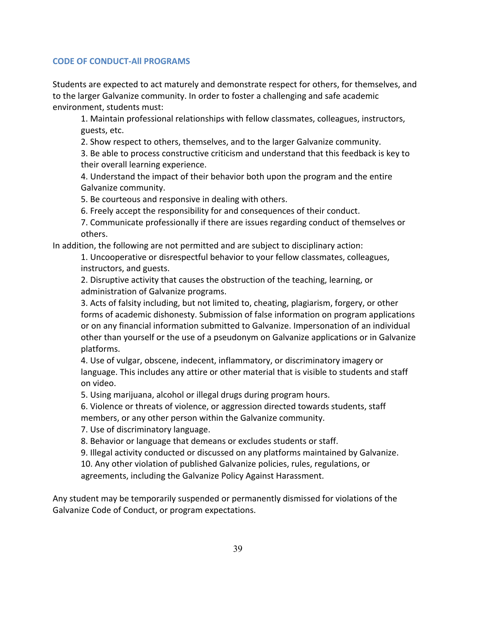# **CODE OF CONDUCT-All PROGRAMS**

Students are expected to act maturely and demonstrate respect for others, for themselves, and to the larger Galvanize community. In order to foster a challenging and safe academic environment, students must:

1. Maintain professional relationships with fellow classmates, colleagues, instructors, guests, etc.

2. Show respect to others, themselves, and to the larger Galvanize community.

3. Be able to process constructive criticism and understand that this feedback is key to their overall learning experience.

4. Understand the impact of their behavior both upon the program and the entire Galvanize community.

5. Be courteous and responsive in dealing with others.

6. Freely accept the responsibility for and consequences of their conduct.

7. Communicate professionally if there are issues regarding conduct of themselves or others.

In addition, the following are not permitted and are subject to disciplinary action:

1. Uncooperative or disrespectful behavior to your fellow classmates, colleagues, instructors, and guests.

2. Disruptive activity that causes the obstruction of the teaching, learning, or administration of Galvanize programs.

3. Acts of falsity including, but not limited to, cheating, plagiarism, forgery, or other forms of academic dishonesty. Submission of false information on program applications or on any financial information submitted to Galvanize. Impersonation of an individual other than yourself or the use of a pseudonym on Galvanize applications or in Galvanize platforms.

4. Use of vulgar, obscene, indecent, inflammatory, or discriminatory imagery or language. This includes any attire or other material that is visible to students and staff on video.

5. Using marijuana, alcohol or illegal drugs during program hours.

6. Violence or threats of violence, or aggression directed towards students, staff members, or any other person within the Galvanize community.

7. Use of discriminatory language.

8. Behavior or language that demeans or excludes students or staff.

9. Illegal activity conducted or discussed on any platforms maintained by Galvanize.

10. Any other violation of published Galvanize policies, rules, regulations, or agreements, including the Galvanize Policy Against Harassment.

Any student may be temporarily suspended or permanently dismissed for violations of the Galvanize Code of Conduct, or program expectations.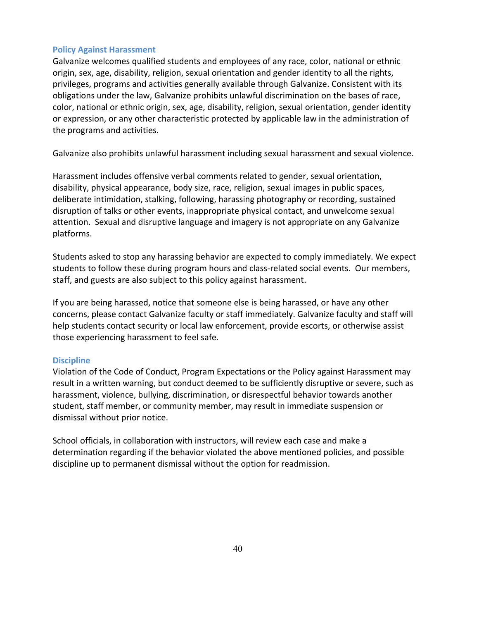## **Policy Against Harassment**

Galvanize welcomes qualified students and employees of any race, color, national or ethnic origin, sex, age, disability, religion, sexual orientation and gender identity to all the rights, privileges, programs and activities generally available through Galvanize. Consistent with its obligations under the law, Galvanize prohibits unlawful discrimination on the bases of race, color, national or ethnic origin, sex, age, disability, religion, sexual orientation, gender identity or expression, or any other characteristic protected by applicable law in the administration of the programs and activities.

Galvanize also prohibits unlawful harassment including sexual harassment and sexual violence.

Harassment includes offensive verbal comments related to gender, sexual orientation, disability, physical appearance, body size, race, religion, sexual images in public spaces, deliberate intimidation, stalking, following, harassing photography or recording, sustained disruption of talks or other events, inappropriate physical contact, and unwelcome sexual attention. Sexual and disruptive language and imagery is not appropriate on any Galvanize platforms.

Students asked to stop any harassing behavior are expected to comply immediately. We expect students to follow these during program hours and class-related social events. Our members, staff, and guests are also subject to this policy against harassment.

If you are being harassed, notice that someone else is being harassed, or have any other concerns, please contact Galvanize faculty or staff immediately. Galvanize faculty and staff will help students contact security or local law enforcement, provide escorts, or otherwise assist those experiencing harassment to feel safe.

# **Discipline**

Violation of the Code of Conduct, Program Expectations or the Policy against Harassment may result in a written warning, but conduct deemed to be sufficiently disruptive or severe, such as harassment, violence, bullying, discrimination, or disrespectful behavior towards another student, staff member, or community member, may result in immediate suspension or dismissal without prior notice.

School officials, in collaboration with instructors, will review each case and make a determination regarding if the behavior violated the above mentioned policies, and possible discipline up to permanent dismissal without the option for readmission.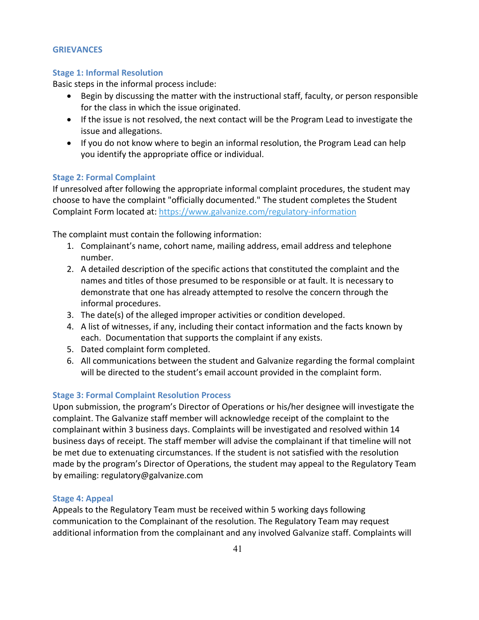# **GRIEVANCES**

# **Stage 1: Informal Resolution**

Basic steps in the informal process include:

- Begin by discussing the matter with the instructional staff, faculty, or person responsible for the class in which the issue originated.
- If the issue is not resolved, the next contact will be the Program Lead to investigate the issue and allegations.
- If you do not know where to begin an informal resolution, the Program Lead can help you identify the appropriate office or individual.

# **Stage 2: Formal Complaint**

If unresolved after following the appropriate informal complaint procedures, the student may choose to have the complaint "officially documented." The student completes the Student Complaint Form located at: https://www.galvanize.com/regulatory-information

The complaint must contain the following information:

- 1. Complainant's name, cohort name, mailing address, email address and telephone number.
- 2. A detailed description of the specific actions that constituted the complaint and the names and titles of those presumed to be responsible or at fault. It is necessary to demonstrate that one has already attempted to resolve the concern through the informal procedures.
- 3. The date(s) of the alleged improper activities or condition developed.
- 4. A list of witnesses, if any, including their contact information and the facts known by each. Documentation that supports the complaint if any exists.
- 5. Dated complaint form completed.
- 6. All communications between the student and Galvanize regarding the formal complaint will be directed to the student's email account provided in the complaint form.

# **Stage 3: Formal Complaint Resolution Process**

Upon submission, the program's Director of Operations or his/her designee will investigate the complaint. The Galvanize staff member will acknowledge receipt of the complaint to the complainant within 3 business days. Complaints will be investigated and resolved within 14 business days of receipt. The staff member will advise the complainant if that timeline will not be met due to extenuating circumstances. If the student is not satisfied with the resolution made by the program's Director of Operations, the student may appeal to the Regulatory Team by emailing: regulatory@galvanize.com

# **Stage 4: Appeal**

Appeals to the Regulatory Team must be received within 5 working days following communication to the Complainant of the resolution. The Regulatory Team may request additional information from the complainant and any involved Galvanize staff. Complaints will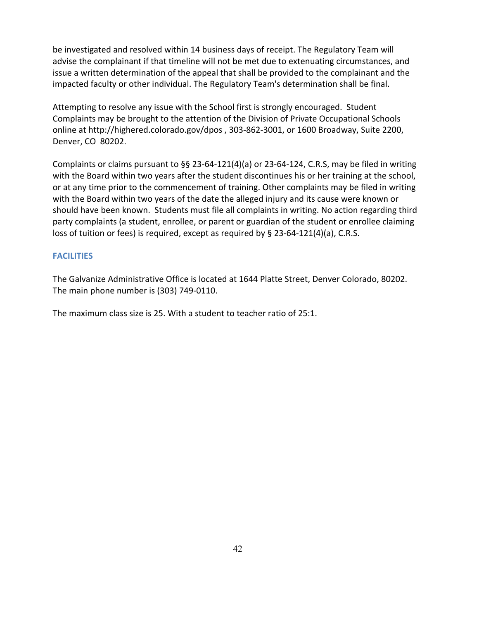be investigated and resolved within 14 business days of receipt. The Regulatory Team will advise the complainant if that timeline will not be met due to extenuating circumstances, and issue a written determination of the appeal that shall be provided to the complainant and the impacted faculty or other individual. The Regulatory Team's determination shall be final.

Attempting to resolve any issue with the School first is strongly encouraged. Student Complaints may be brought to the attention of the Division of Private Occupational Schools online at http://highered.colorado.gov/dpos , 303-862-3001, or 1600 Broadway, Suite 2200, Denver, CO 80202.

Complaints or claims pursuant to §§ 23-64-121(4)(a) or 23-64-124, C.R.S, may be filed in writing with the Board within two years after the student discontinues his or her training at the school, or at any time prior to the commencement of training. Other complaints may be filed in writing with the Board within two years of the date the alleged injury and its cause were known or should have been known. Students must file all complaints in writing. No action regarding third party complaints (a student, enrollee, or parent or guardian of the student or enrollee claiming loss of tuition or fees) is required, except as required by § 23-64-121(4)(a), C.R.S.

# **FACILITIES**

The Galvanize Administrative Office is located at 1644 Platte Street, Denver Colorado, 80202. The main phone number is (303) 749-0110.

The maximum class size is 25. With a student to teacher ratio of 25:1.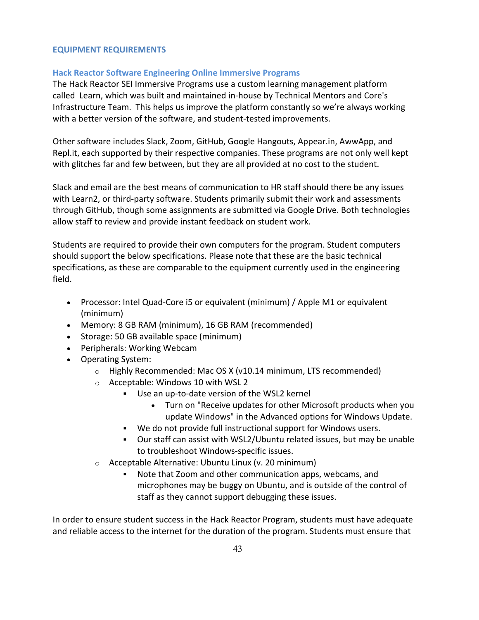# **EQUIPMENT REQUIREMENTS**

# **Hack Reactor Software Engineering Online Immersive Programs**

The Hack Reactor SEI Immersive Programs use a custom learning management platform called Learn, which was built and maintained in-house by Technical Mentors and Core's Infrastructure Team. This helps us improve the platform constantly so we're always working with a better version of the software, and student-tested improvements.

Other software includes Slack, Zoom, GitHub, Google Hangouts, Appear.in, AwwApp, and Repl.it, each supported by their respective companies. These programs are not only well kept with glitches far and few between, but they are all provided at no cost to the student.

Slack and email are the best means of communication to HR staff should there be any issues with Learn2, or third-party software. Students primarily submit their work and assessments through GitHub, though some assignments are submitted via Google Drive. Both technologies allow staff to review and provide instant feedback on student work.

Students are required to provide their own computers for the program. Student computers should support the below specifications. Please note that these are the basic technical specifications, as these are comparable to the equipment currently used in the engineering field.

- Processor: Intel Quad-Core i5 or equivalent (minimum) / Apple M1 or equivalent (minimum)
- Memory: 8 GB RAM (minimum), 16 GB RAM (recommended)
- Storage: 50 GB available space (minimum)
- Peripherals: Working Webcam
- Operating System:
	- o Highly Recommended: Mac OS X (v10.14 minimum, LTS recommended)
	- o Acceptable: Windows 10 with WSL 2
		- § Use an up-to-date version of the WSL2 kernel
			- Turn on "Receive updates for other Microsoft products when you update Windows" in the Advanced options for Windows Update.
		- § We do not provide full instructional support for Windows users.
		- § Our staff can assist with WSL2/Ubuntu related issues, but may be unable to troubleshoot Windows-specific issues.
	- o Acceptable Alternative: Ubuntu Linux (v. 20 minimum)
		- Note that Zoom and other communication apps, webcams, and microphones may be buggy on Ubuntu, and is outside of the control of staff as they cannot support debugging these issues.

In order to ensure student success in the Hack Reactor Program, students must have adequate and reliable access to the internet for the duration of the program. Students must ensure that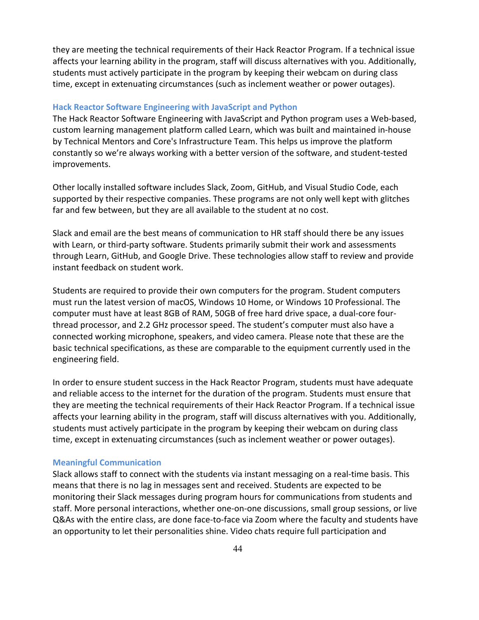they are meeting the technical requirements of their Hack Reactor Program. If a technical issue affects your learning ability in the program, staff will discuss alternatives with you. Additionally, students must actively participate in the program by keeping their webcam on during class time, except in extenuating circumstances (such as inclement weather or power outages).

## **Hack Reactor Software Engineering with JavaScript and Python**

The Hack Reactor Software Engineering with JavaScript and Python program uses a Web-based, custom learning management platform called Learn, which was built and maintained in-house by Technical Mentors and Core's Infrastructure Team. This helps us improve the platform constantly so we're always working with a better version of the software, and student-tested improvements.

Other locally installed software includes Slack, Zoom, GitHub, and Visual Studio Code, each supported by their respective companies. These programs are not only well kept with glitches far and few between, but they are all available to the student at no cost.

Slack and email are the best means of communication to HR staff should there be any issues with Learn, or third-party software. Students primarily submit their work and assessments through Learn, GitHub, and Google Drive. These technologies allow staff to review and provide instant feedback on student work.

Students are required to provide their own computers for the program. Student computers must run the latest version of macOS, Windows 10 Home, or Windows 10 Professional. The computer must have at least 8GB of RAM, 50GB of free hard drive space, a dual-core fourthread processor, and 2.2 GHz processor speed. The student's computer must also have a connected working microphone, speakers, and video camera. Please note that these are the basic technical specifications, as these are comparable to the equipment currently used in the engineering field.

In order to ensure student success in the Hack Reactor Program, students must have adequate and reliable access to the internet for the duration of the program. Students must ensure that they are meeting the technical requirements of their Hack Reactor Program. If a technical issue affects your learning ability in the program, staff will discuss alternatives with you. Additionally, students must actively participate in the program by keeping their webcam on during class time, except in extenuating circumstances (such as inclement weather or power outages).

#### **Meaningful Communication**

Slack allows staff to connect with the students via instant messaging on a real-time basis. This means that there is no lag in messages sent and received. Students are expected to be monitoring their Slack messages during program hours for communications from students and staff. More personal interactions, whether one-on-one discussions, small group sessions, or live Q&As with the entire class, are done face-to-face via Zoom where the faculty and students have an opportunity to let their personalities shine. Video chats require full participation and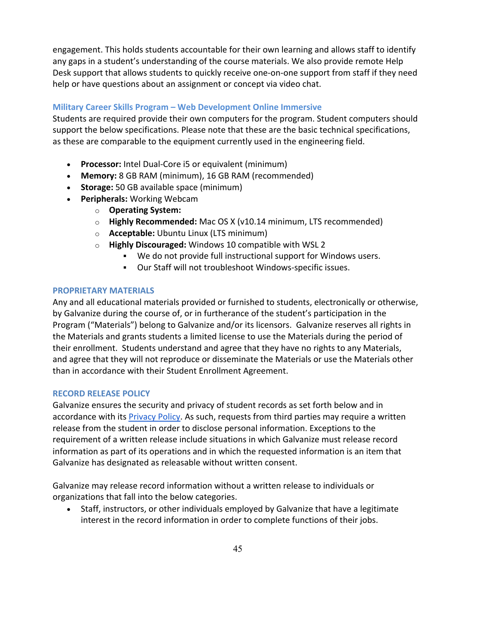engagement. This holds students accountable for their own learning and allows staff to identify any gaps in a student's understanding of the course materials. We also provide remote Help Desk support that allows students to quickly receive one-on-one support from staff if they need help or have questions about an assignment or concept via video chat.

# **Military Career Skills Program – Web Development Online Immersive**

Students are required provide their own computers for the program. Student computers should support the below specifications. Please note that these are the basic technical specifications, as these are comparable to the equipment currently used in the engineering field.

- **Processor:** Intel Dual-Core i5 or equivalent (minimum)
- **Memory:** 8 GB RAM (minimum), 16 GB RAM (recommended)
- **Storage:** 50 GB available space (minimum)
- **Peripherals:** Working Webcam
	- o **Operating System:**
	- o **Highly Recommended:** Mac OS X (v10.14 minimum, LTS recommended)
	- o **Acceptable:** Ubuntu Linux (LTS minimum)
	- o **Highly Discouraged:** Windows 10 compatible with WSL 2
		- § We do not provide full instructional support for Windows users.
			- § Our Staff will not troubleshoot Windows-specific issues.

# **PROPRIETARY MATERIALS**

Any and all educational materials provided or furnished to students, electronically or otherwise, by Galvanize during the course of, or in furtherance of the student's participation in the Program ("Materials") belong to Galvanize and/or its licensors. Galvanize reserves all rights in the Materials and grants students a limited license to use the Materials during the period of their enrollment. Students understand and agree that they have no rights to any Materials, and agree that they will not reproduce or disseminate the Materials or use the Materials other than in accordance with their Student Enrollment Agreement.

# **RECORD RELEASE POLICY**

Galvanize ensures the security and privacy of student records as set forth below and in accordance with its Privacy Policy. As such, requests from third parties may require a written release from the student in order to disclose personal information. Exceptions to the requirement of a written release include situations in which Galvanize must release record information as part of its operations and in which the requested information is an item that Galvanize has designated as releasable without written consent.

Galvanize may release record information without a written release to individuals or organizations that fall into the below categories.

• Staff, instructors, or other individuals employed by Galvanize that have a legitimate interest in the record information in order to complete functions of their jobs.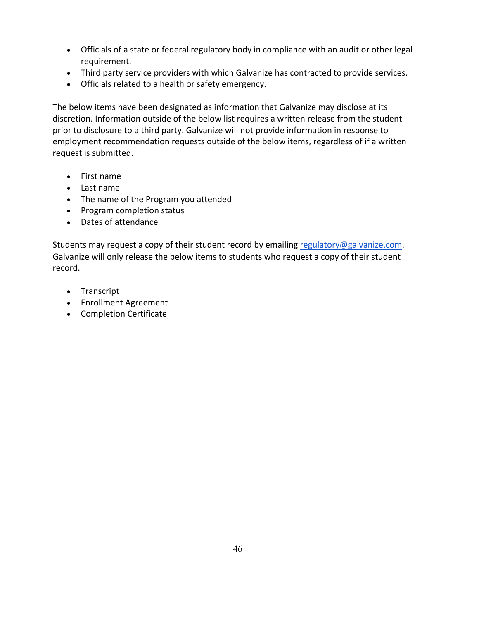- Officials of a state or federal regulatory body in compliance with an audit or other legal requirement.
- Third party service providers with which Galvanize has contracted to provide services.
- Officials related to a health or safety emergency.

The below items have been designated as information that Galvanize may disclose at its discretion. Information outside of the below list requires a written release from the student prior to disclosure to a third party. Galvanize will not provide information in response to employment recommendation requests outside of the below items, regardless of if a written request is submitted.

- First name
- Last name
- The name of the Program you attended
- Program completion status
- Dates of attendance

Students may request a copy of their student record by emailing regulatory@galvanize.com. Galvanize will only release the below items to students who request a copy of their student record.

- Transcript
- Enrollment Agreement
- Completion Certificate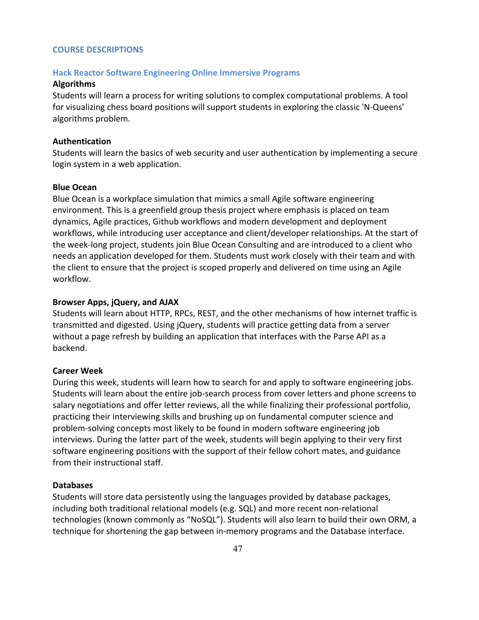## **COURSE DESCRIPTIONS**

# **Hack Reactor Software Engineering Online Immersive Programs**

#### **Algorithms**

Students will learn a process for writing solutions to complex computational problems. A tool for visualizing chess board positions will support students in exploring the classic 'N-Queens' algorithms problem.

# **Authentication**

Students will learn the basics of web security and user authentication by implementing a secure login system in a web application.

# **Blue Ocean**

Blue Ocean is a workplace simulation that mimics a small Agile software engineering environment. This is a greenfield group thesis project where emphasis is placed on team dynamics, Agile practices, Github workflows and modern development and deployment workflows, while introducing user acceptance and client/developer relationships. At the start of the week-long project, students join Blue Ocean Consulting and are introduced to a client who needs an application developed for them. Students must work closely with their team and with the client to ensure that the project is scoped properly and delivered on time using an Agile workflow.

# **Browser Apps, jQuery, and AJAX**

Students will learn about HTTP, RPCs, REST, and the other mechanisms of how internet traffic is transmitted and digested. Using jQuery, students will practice getting data from a server without a page refresh by building an application that interfaces with the Parse API as a backend.

## **Career Week**

During this week, students will learn how to search for and apply to software engineering jobs. Students will learn about the entire job-search process from cover letters and phone screens to salary negotiations and offer letter reviews, all the while finalizing their professional portfolio, practicing their interviewing skills and brushing up on fundamental computer science and problem-solving concepts most likely to be found in modern software engineering job interviews. During the latter part of the week, students will begin applying to their very first software engineering positions with the support of their fellow cohort mates, and guidance from their instructional staff.

#### **Databases**

Students will store data persistently using the languages provided by database packages, including both traditional relational models (e.g. SQL) and more recent non-relational technologies (known commonly as "NoSQL"). Students will also learn to build their own ORM, a technique for shortening the gap between in-memory programs and the Database interface.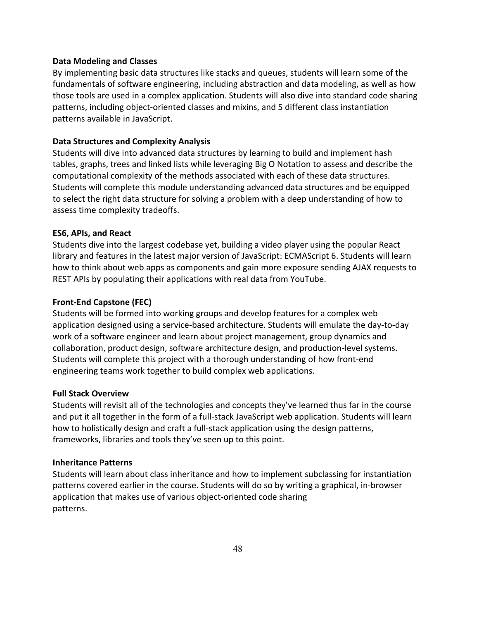# **Data Modeling and Classes**

By implementing basic data structures like stacks and queues, students will learn some of the fundamentals of software engineering, including abstraction and data modeling, as well as how those tools are used in a complex application. Students will also dive into standard code sharing patterns, including object-oriented classes and mixins, and 5 different class instantiation patterns available in JavaScript.

# **Data Structures and Complexity Analysis**

Students will dive into advanced data structures by learning to build and implement hash tables, graphs, trees and linked lists while leveraging Big O Notation to assess and describe the computational complexity of the methods associated with each of these data structures. Students will complete this module understanding advanced data structures and be equipped to select the right data structure for solving a problem with a deep understanding of how to assess time complexity tradeoffs.

## **ES6, APIs, and React**

Students dive into the largest codebase yet, building a video player using the popular React library and features in the latest major version of JavaScript: ECMAScript 6. Students will learn how to think about web apps as components and gain more exposure sending AJAX requests to REST APIs by populating their applications with real data from YouTube.

# **Front-End Capstone (FEC)**

Students will be formed into working groups and develop features for a complex web application designed using a service-based architecture. Students will emulate the day-to-day work of a software engineer and learn about project management, group dynamics and collaboration, product design, software architecture design, and production-level systems. Students will complete this project with a thorough understanding of how front-end engineering teams work together to build complex web applications.

## **Full Stack Overview**

Students will revisit all of the technologies and concepts they've learned thus far in the course and put it all together in the form of a full-stack JavaScript web application. Students will learn how to holistically design and craft a full-stack application using the design patterns, frameworks, libraries and tools they've seen up to this point.

#### **Inheritance Patterns**

Students will learn about class inheritance and how to implement subclassing for instantiation patterns covered earlier in the course. Students will do so by writing a graphical, in-browser application that makes use of various object-oriented code sharing patterns.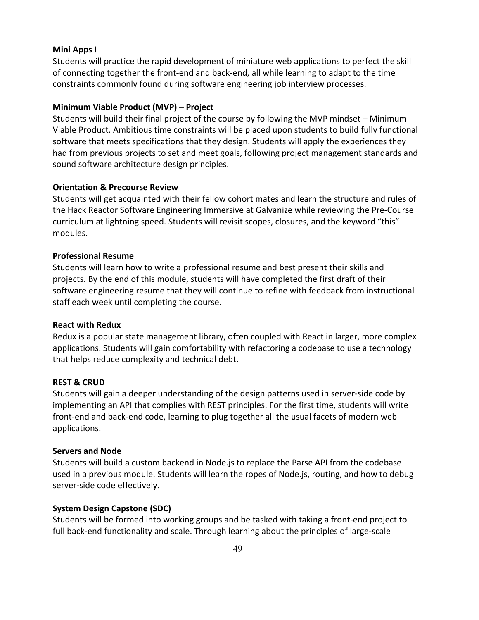## **Mini Apps I**

Students will practice the rapid development of miniature web applications to perfect the skill of connecting together the front-end and back-end, all while learning to adapt to the time constraints commonly found during software engineering job interview processes.

# **Minimum Viable Product (MVP) – Project**

Students will build their final project of the course by following the MVP mindset – Minimum Viable Product. Ambitious time constraints will be placed upon students to build fully functional software that meets specifications that they design. Students will apply the experiences they had from previous projects to set and meet goals, following project management standards and sound software architecture design principles.

# **Orientation & Precourse Review**

Students will get acquainted with their fellow cohort mates and learn the structure and rules of the Hack Reactor Software Engineering Immersive at Galvanize while reviewing the Pre-Course curriculum at lightning speed. Students will revisit scopes, closures, and the keyword "this" modules.

## **Professional Resume**

Students will learn how to write a professional resume and best present their skills and projects. By the end of this module, students will have completed the first draft of their software engineering resume that they will continue to refine with feedback from instructional staff each week until completing the course.

#### **React with Redux**

Redux is a popular state management library, often coupled with React in larger, more complex applications. Students will gain comfortability with refactoring a codebase to use a technology that helps reduce complexity and technical debt.

#### **REST & CRUD**

Students will gain a deeper understanding of the design patterns used in server-side code by implementing an API that complies with REST principles. For the first time, students will write front-end and back-end code, learning to plug together all the usual facets of modern web applications.

#### **Servers and Node**

Students will build a custom backend in Node.js to replace the Parse API from the codebase used in a previous module. Students will learn the ropes of Node.js, routing, and how to debug server-side code effectively.

# **System Design Capstone (SDC)**

Students will be formed into working groups and be tasked with taking a front-end project to full back-end functionality and scale. Through learning about the principles of large-scale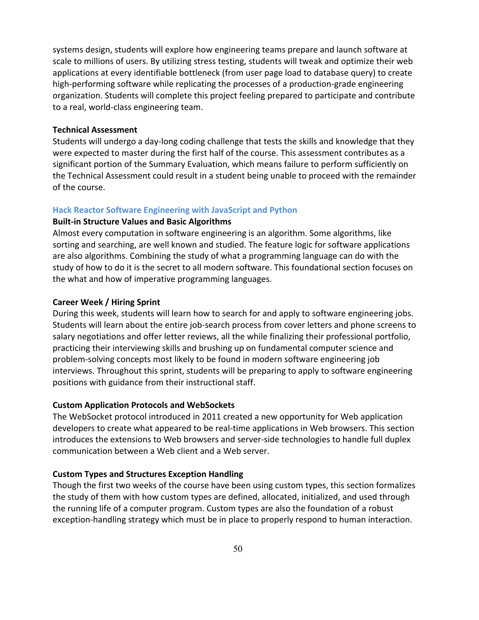systems design, students will explore how engineering teams prepare and launch software at scale to millions of users. By utilizing stress testing, students will tweak and optimize their web applications at every identifiable bottleneck (from user page load to database query) to create high-performing software while replicating the processes of a production-grade engineering organization. Students will complete this project feeling prepared to participate and contribute to a real, world-class engineering team.

# **Technical Assessment**

Students will undergo a day-long coding challenge that tests the skills and knowledge that they were expected to master during the first half of the course. This assessment contributes as a significant portion of the Summary Evaluation, which means failure to perform sufficiently on the Technical Assessment could result in a student being unable to proceed with the remainder of the course.

# **Hack Reactor Software Engineering with JavaScript and Python**

## **Built-in Structure Values and Basic Algorithms**

Almost every computation in software engineering is an algorithm. Some algorithms, like sorting and searching, are well known and studied. The feature logic for software applications are also algorithms. Combining the study of what a programming language can do with the study of how to do it is the secret to all modern software. This foundational section focuses on the what and how of imperative programming languages.

# **Career Week / Hiring Sprint**

During this week, students will learn how to search for and apply to software engineering jobs. Students will learn about the entire job-search process from cover letters and phone screens to salary negotiations and offer letter reviews, all the while finalizing their professional portfolio, practicing their interviewing skills and brushing up on fundamental computer science and problem-solving concepts most likely to be found in modern software engineering job interviews. Throughout this sprint, students will be preparing to apply to software engineering positions with guidance from their instructional staff.

# **Custom Application Protocols and WebSockets**

The WebSocket protocol introduced in 2011 created a new opportunity for Web application developers to create what appeared to be real-time applications in Web browsers. This section introduces the extensions to Web browsers and server-side technologies to handle full duplex communication between a Web client and a Web server.

# **Custom Types and Structures Exception Handling**

Though the first two weeks of the course have been using custom types, this section formalizes the study of them with how custom types are defined, allocated, initialized, and used through the running life of a computer program. Custom types are also the foundation of a robust exception-handling strategy which must be in place to properly respond to human interaction.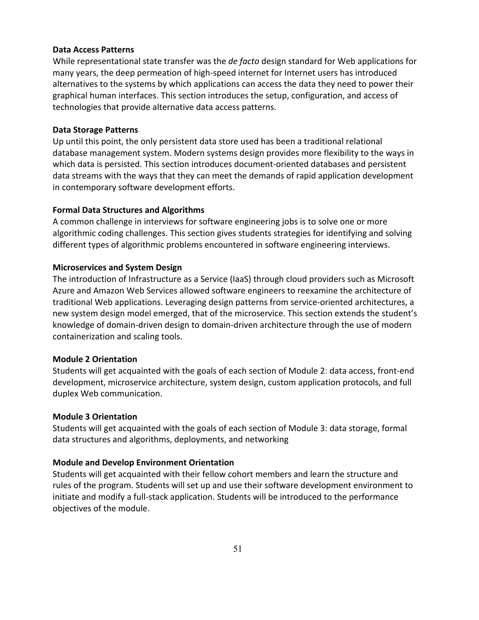## **Data Access Patterns**

While representational state transfer was the *de facto* design standard for Web applications for many years, the deep permeation of high-speed internet for Internet users has introduced alternatives to the systems by which applications can access the data they need to power their graphical human interfaces. This section introduces the setup, configuration, and access of technologies that provide alternative data access patterns.

## **Data Storage Patterns**

Up until this point, the only persistent data store used has been a traditional relational database management system. Modern systems design provides more flexibility to the ways in which data is persisted. This section introduces document-oriented databases and persistent data streams with the ways that they can meet the demands of rapid application development in contemporary software development efforts.

# **Formal Data Structures and Algorithms**

A common challenge in interviews for software engineering jobs is to solve one or more algorithmic coding challenges. This section gives students strategies for identifying and solving different types of algorithmic problems encountered in software engineering interviews.

# **Microservices and System Design**

The introduction of Infrastructure as a Service (IaaS) through cloud providers such as Microsoft Azure and Amazon Web Services allowed software engineers to reexamine the architecture of traditional Web applications. Leveraging design patterns from service-oriented architectures, a new system design model emerged, that of the microservice. This section extends the student's knowledge of domain-driven design to domain-driven architecture through the use of modern containerization and scaling tools.

#### **Module 2 Orientation**

Students will get acquainted with the goals of each section of Module 2: data access, front-end development, microservice architecture, system design, custom application protocols, and full duplex Web communication.

## **Module 3 Orientation**

Students will get acquainted with the goals of each section of Module 3: data storage, formal data structures and algorithms, deployments, and networking

# **Module and Develop Environment Orientation**

Students will get acquainted with their fellow cohort members and learn the structure and rules of the program. Students will set up and use their software development environment to initiate and modify a full-stack application. Students will be introduced to the performance objectives of the module.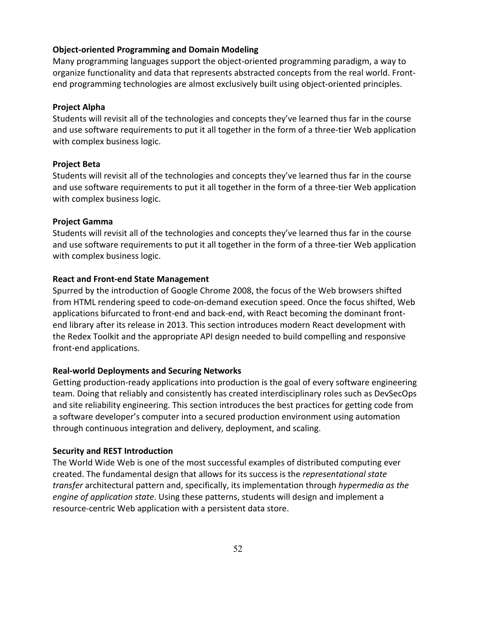## **Object-oriented Programming and Domain Modeling**

Many programming languages support the object-oriented programming paradigm, a way to organize functionality and data that represents abstracted concepts from the real world. Frontend programming technologies are almost exclusively built using object-oriented principles.

#### **Project Alpha**

Students will revisit all of the technologies and concepts they've learned thus far in the course and use software requirements to put it all together in the form of a three-tier Web application with complex business logic.

#### **Project Beta**

Students will revisit all of the technologies and concepts they've learned thus far in the course and use software requirements to put it all together in the form of a three-tier Web application with complex business logic.

#### **Project Gamma**

Students will revisit all of the technologies and concepts they've learned thus far in the course and use software requirements to put it all together in the form of a three-tier Web application with complex business logic.

# **React and Front-end State Management**

Spurred by the introduction of Google Chrome 2008, the focus of the Web browsers shifted from HTML rendering speed to code-on-demand execution speed. Once the focus shifted, Web applications bifurcated to front-end and back-end, with React becoming the dominant frontend library after its release in 2013. This section introduces modern React development with the Redex Toolkit and the appropriate API design needed to build compelling and responsive front-end applications.

# **Real-world Deployments and Securing Networks**

Getting production-ready applications into production is the goal of every software engineering team. Doing that reliably and consistently has created interdisciplinary roles such as DevSecOps and site reliability engineering. This section introduces the best practices for getting code from a software developer's computer into a secured production environment using automation through continuous integration and delivery, deployment, and scaling.

#### **Security and REST Introduction**

The World Wide Web is one of the most successful examples of distributed computing ever created. The fundamental design that allows for its success is the *representational state transfer* architectural pattern and, specifically, its implementation through *hypermedia as the engine of application state*. Using these patterns, students will design and implement a resource-centric Web application with a persistent data store.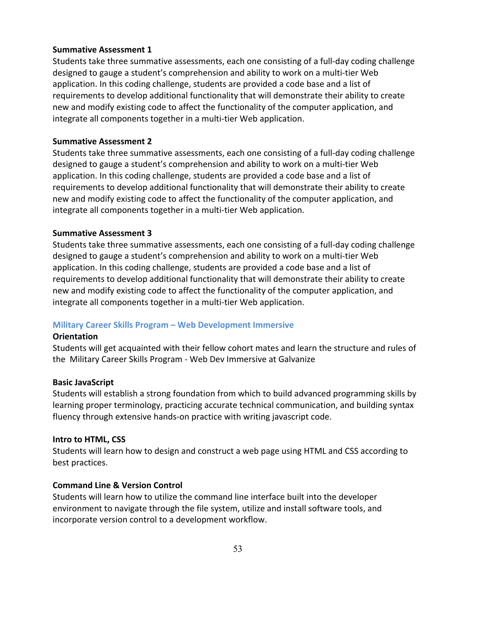# **Summative Assessment 1**

Students take three summative assessments, each one consisting of a full-day coding challenge designed to gauge a student's comprehension and ability to work on a multi-tier Web application. In this coding challenge, students are provided a code base and a list of requirements to develop additional functionality that will demonstrate their ability to create new and modify existing code to affect the functionality of the computer application, and integrate all components together in a multi-tier Web application.

# **Summative Assessment 2**

Students take three summative assessments, each one consisting of a full-day coding challenge designed to gauge a student's comprehension and ability to work on a multi-tier Web application. In this coding challenge, students are provided a code base and a list of requirements to develop additional functionality that will demonstrate their ability to create new and modify existing code to affect the functionality of the computer application, and integrate all components together in a multi-tier Web application.

# **Summative Assessment 3**

Students take three summative assessments, each one consisting of a full-day coding challenge designed to gauge a student's comprehension and ability to work on a multi-tier Web application. In this coding challenge, students are provided a code base and a list of requirements to develop additional functionality that will demonstrate their ability to create new and modify existing code to affect the functionality of the computer application, and integrate all components together in a multi-tier Web application.

# **Military Career Skills Program – Web Development Immersive**

## **Orientation**

Students will get acquainted with their fellow cohort mates and learn the structure and rules of the Military Career Skills Program - Web Dev Immersive at Galvanize

#### **Basic JavaScript**

Students will establish a strong foundation from which to build advanced programming skills by learning proper terminology, practicing accurate technical communication, and building syntax fluency through extensive hands-on practice with writing javascript code.

#### **Intro to HTML, CSS**

Students will learn how to design and construct a web page using HTML and CSS according to best practices.

# **Command Line & Version Control**

Students will learn how to utilize the command line interface built into the developer environment to navigate through the file system, utilize and install software tools, and incorporate version control to a development workflow.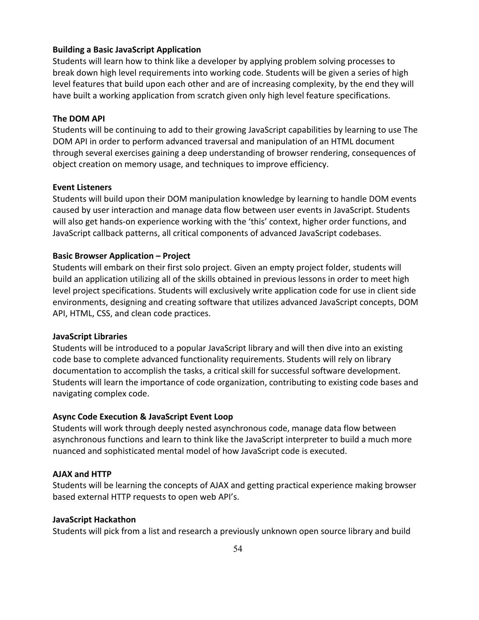# **Building a Basic JavaScript Application**

Students will learn how to think like a developer by applying problem solving processes to break down high level requirements into working code. Students will be given a series of high level features that build upon each other and are of increasing complexity, by the end they will have built a working application from scratch given only high level feature specifications.

# **The DOM API**

Students will be continuing to add to their growing JavaScript capabilities by learning to use The DOM API in order to perform advanced traversal and manipulation of an HTML document through several exercises gaining a deep understanding of browser rendering, consequences of object creation on memory usage, and techniques to improve efficiency.

## **Event Listeners**

Students will build upon their DOM manipulation knowledge by learning to handle DOM events caused by user interaction and manage data flow between user events in JavaScript. Students will also get hands-on experience working with the 'this' context, higher order functions, and JavaScript callback patterns, all critical components of advanced JavaScript codebases.

## **Basic Browser Application – Project**

Students will embark on their first solo project. Given an empty project folder, students will build an application utilizing all of the skills obtained in previous lessons in order to meet high level project specifications. Students will exclusively write application code for use in client side environments, designing and creating software that utilizes advanced JavaScript concepts, DOM API, HTML, CSS, and clean code practices.

#### **JavaScript Libraries**

Students will be introduced to a popular JavaScript library and will then dive into an existing code base to complete advanced functionality requirements. Students will rely on library documentation to accomplish the tasks, a critical skill for successful software development. Students will learn the importance of code organization, contributing to existing code bases and navigating complex code.

#### **Async Code Execution & JavaScript Event Loop**

Students will work through deeply nested asynchronous code, manage data flow between asynchronous functions and learn to think like the JavaScript interpreter to build a much more nuanced and sophisticated mental model of how JavaScript code is executed.

#### **AJAX and HTTP**

Students will be learning the concepts of AJAX and getting practical experience making browser based external HTTP requests to open web API's.

#### **JavaScript Hackathon**

Students will pick from a list and research a previously unknown open source library and build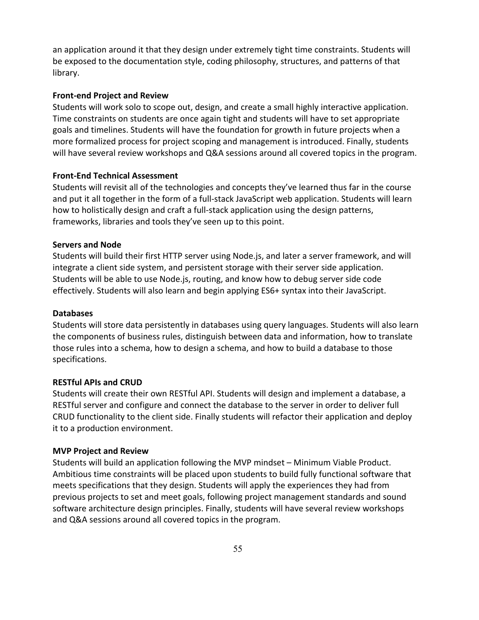an application around it that they design under extremely tight time constraints. Students will be exposed to the documentation style, coding philosophy, structures, and patterns of that library.

# **Front-end Project and Review**

Students will work solo to scope out, design, and create a small highly interactive application. Time constraints on students are once again tight and students will have to set appropriate goals and timelines. Students will have the foundation for growth in future projects when a more formalized process for project scoping and management is introduced. Finally, students will have several review workshops and Q&A sessions around all covered topics in the program.

# **Front-End Technical Assessment**

Students will revisit all of the technologies and concepts they've learned thus far in the course and put it all together in the form of a full-stack JavaScript web application. Students will learn how to holistically design and craft a full-stack application using the design patterns, frameworks, libraries and tools they've seen up to this point.

# **Servers and Node**

Students will build their first HTTP server using Node.js, and later a server framework, and will integrate a client side system, and persistent storage with their server side application. Students will be able to use Node.js, routing, and know how to debug server side code effectively. Students will also learn and begin applying ES6+ syntax into their JavaScript.

# **Databases**

Students will store data persistently in databases using query languages. Students will also learn the components of business rules, distinguish between data and information, how to translate those rules into a schema, how to design a schema, and how to build a database to those specifications.

# **RESTful APIs and CRUD**

Students will create their own RESTful API. Students will design and implement a database, a RESTful server and configure and connect the database to the server in order to deliver full CRUD functionality to the client side. Finally students will refactor their application and deploy it to a production environment.

# **MVP Project and Review**

Students will build an application following the MVP mindset – Minimum Viable Product. Ambitious time constraints will be placed upon students to build fully functional software that meets specifications that they design. Students will apply the experiences they had from previous projects to set and meet goals, following project management standards and sound software architecture design principles. Finally, students will have several review workshops and Q&A sessions around all covered topics in the program.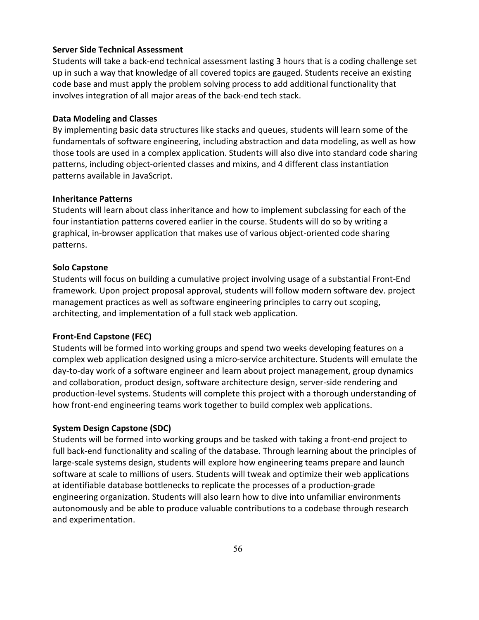# **Server Side Technical Assessment**

Students will take a back-end technical assessment lasting 3 hours that is a coding challenge set up in such a way that knowledge of all covered topics are gauged. Students receive an existing code base and must apply the problem solving process to add additional functionality that involves integration of all major areas of the back-end tech stack.

# **Data Modeling and Classes**

By implementing basic data structures like stacks and queues, students will learn some of the fundamentals of software engineering, including abstraction and data modeling, as well as how those tools are used in a complex application. Students will also dive into standard code sharing patterns, including object-oriented classes and mixins, and 4 different class instantiation patterns available in JavaScript.

# **Inheritance Patterns**

Students will learn about class inheritance and how to implement subclassing for each of the four instantiation patterns covered earlier in the course. Students will do so by writing a graphical, in-browser application that makes use of various object-oriented code sharing patterns.

# **Solo Capstone**

Students will focus on building a cumulative project involving usage of a substantial Front-End framework. Upon project proposal approval, students will follow modern software dev. project management practices as well as software engineering principles to carry out scoping, architecting, and implementation of a full stack web application.

# **Front-End Capstone (FEC)**

Students will be formed into working groups and spend two weeks developing features on a complex web application designed using a micro-service architecture. Students will emulate the day-to-day work of a software engineer and learn about project management, group dynamics and collaboration, product design, software architecture design, server-side rendering and production-level systems. Students will complete this project with a thorough understanding of how front-end engineering teams work together to build complex web applications.

# **System Design Capstone (SDC)**

Students will be formed into working groups and be tasked with taking a front-end project to full back-end functionality and scaling of the database. Through learning about the principles of large-scale systems design, students will explore how engineering teams prepare and launch software at scale to millions of users. Students will tweak and optimize their web applications at identifiable database bottlenecks to replicate the processes of a production-grade engineering organization. Students will also learn how to dive into unfamiliar environments autonomously and be able to produce valuable contributions to a codebase through research and experimentation.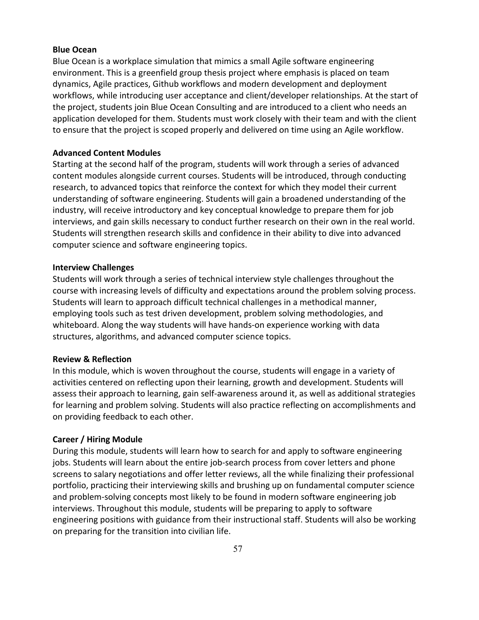#### **Blue Ocean**

Blue Ocean is a workplace simulation that mimics a small Agile software engineering environment. This is a greenfield group thesis project where emphasis is placed on team dynamics, Agile practices, Github workflows and modern development and deployment workflows, while introducing user acceptance and client/developer relationships. At the start of the project, students join Blue Ocean Consulting and are introduced to a client who needs an application developed for them. Students must work closely with their team and with the client to ensure that the project is scoped properly and delivered on time using an Agile workflow.

## **Advanced Content Modules**

Starting at the second half of the program, students will work through a series of advanced content modules alongside current courses. Students will be introduced, through conducting research, to advanced topics that reinforce the context for which they model their current understanding of software engineering. Students will gain a broadened understanding of the industry, will receive introductory and key conceptual knowledge to prepare them for job interviews, and gain skills necessary to conduct further research on their own in the real world. Students will strengthen research skills and confidence in their ability to dive into advanced computer science and software engineering topics.

#### **Interview Challenges**

Students will work through a series of technical interview style challenges throughout the course with increasing levels of difficulty and expectations around the problem solving process. Students will learn to approach difficult technical challenges in a methodical manner, employing tools such as test driven development, problem solving methodologies, and whiteboard. Along the way students will have hands-on experience working with data structures, algorithms, and advanced computer science topics.

#### **Review & Reflection**

In this module, which is woven throughout the course, students will engage in a variety of activities centered on reflecting upon their learning, growth and development. Students will assess their approach to learning, gain self-awareness around it, as well as additional strategies for learning and problem solving. Students will also practice reflecting on accomplishments and on providing feedback to each other.

#### **Career / Hiring Module**

During this module, students will learn how to search for and apply to software engineering jobs. Students will learn about the entire job-search process from cover letters and phone screens to salary negotiations and offer letter reviews, all the while finalizing their professional portfolio, practicing their interviewing skills and brushing up on fundamental computer science and problem-solving concepts most likely to be found in modern software engineering job interviews. Throughout this module, students will be preparing to apply to software engineering positions with guidance from their instructional staff. Students will also be working on preparing for the transition into civilian life.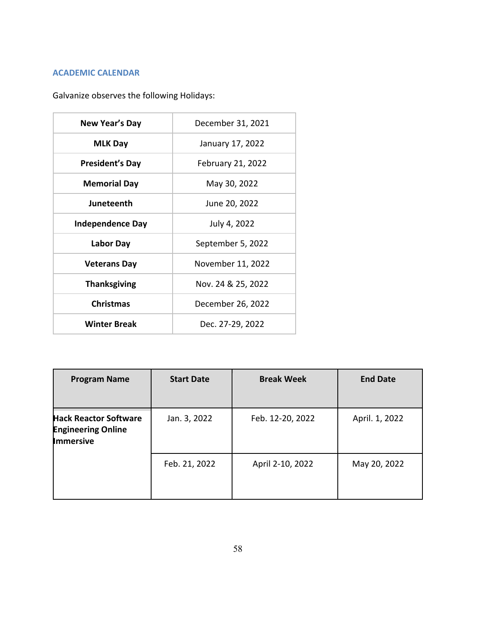# **ACADEMIC CALENDAR**

Galvanize observes the following Holidays:

| New Year's Day          | December 31, 2021        |  |
|-------------------------|--------------------------|--|
| <b>MLK Day</b>          | January 17, 2022         |  |
| <b>President's Day</b>  | <b>February 21, 2022</b> |  |
| <b>Memorial Day</b>     | May 30, 2022             |  |
| Juneteenth              | June 20, 2022            |  |
| <b>Independence Day</b> | July 4, 2022             |  |
| Labor Day               | September 5, 2022        |  |
| <b>Veterans Day</b>     | November 11, 2022        |  |
| <b>Thanksgiving</b>     | Nov. 24 & 25, 2022       |  |
| <b>Christmas</b>        | December 26, 2022        |  |
| <b>Winter Break</b>     | Dec. 27-29, 2022         |  |

| <b>Program Name</b>                                                           | <b>Start Date</b> | <b>Break Week</b> | <b>End Date</b> |
|-------------------------------------------------------------------------------|-------------------|-------------------|-----------------|
| <b>Hack Reactor Software</b><br><b>Engineering Online</b><br><b>Immersive</b> | Jan. 3, 2022      | Feb. 12-20, 2022  | April. 1, 2022  |
|                                                                               | Feb. 21, 2022     | April 2-10, 2022  | May 20, 2022    |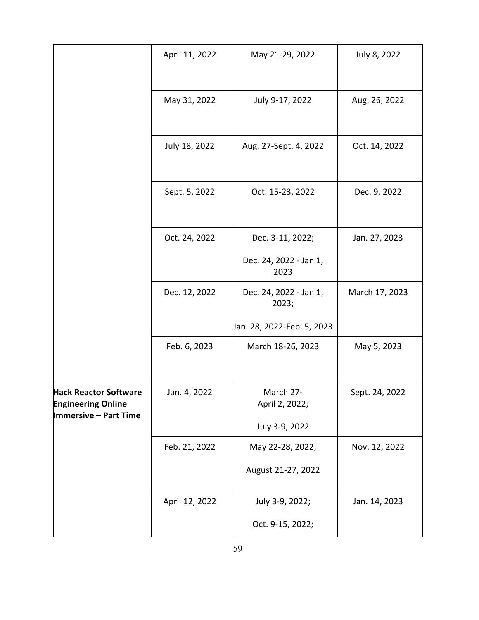|                                                                                           | April 11, 2022 | May 21-29, 2022                                               | July 8, 2022   |
|-------------------------------------------------------------------------------------------|----------------|---------------------------------------------------------------|----------------|
|                                                                                           | May 31, 2022   | July 9-17, 2022                                               | Aug. 26, 2022  |
|                                                                                           | July 18, 2022  | Aug. 27-Sept. 4, 2022                                         | Oct. 14, 2022  |
|                                                                                           | Sept. 5, 2022  | Oct. 15-23, 2022                                              | Dec. 9, 2022   |
|                                                                                           | Oct. 24, 2022  | Dec. 3-11, 2022;<br>Dec. 24, 2022 - Jan 1,<br>2023            | Jan. 27, 2023  |
|                                                                                           | Dec. 12, 2022  | Dec. 24, 2022 - Jan 1,<br>2023;<br>Jan. 28, 2022-Feb. 5, 2023 | March 17, 2023 |
|                                                                                           | Feb. 6, 2023   | March 18-26, 2023                                             | May 5, 2023    |
| <b>Hack Reactor Software</b><br><b>Engineering Online</b><br><b>Immersive - Part Time</b> | Jan. 4, 2022   | March 27-<br>April 2, 2022;<br>July 3-9, 2022                 | Sept. 24, 2022 |
|                                                                                           | Feb. 21, 2022  | May 22-28, 2022;<br>August 21-27, 2022                        | Nov. 12, 2022  |
|                                                                                           | April 12, 2022 | July 3-9, 2022;<br>Oct. 9-15, 2022;                           | Jan. 14, 2023  |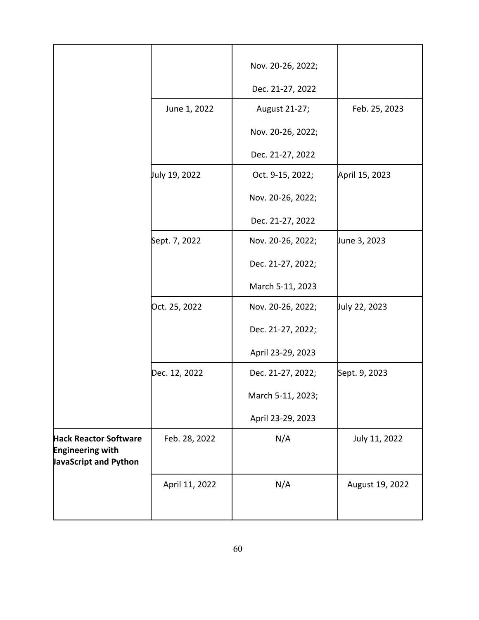|                                                                                  |                | Nov. 20-26, 2022; |                 |
|----------------------------------------------------------------------------------|----------------|-------------------|-----------------|
|                                                                                  |                | Dec. 21-27, 2022  |                 |
|                                                                                  | June 1, 2022   | August 21-27;     | Feb. 25, 2023   |
|                                                                                  |                | Nov. 20-26, 2022; |                 |
|                                                                                  |                | Dec. 21-27, 2022  |                 |
|                                                                                  | July 19, 2022  | Oct. 9-15, 2022;  | April 15, 2023  |
|                                                                                  |                | Nov. 20-26, 2022; |                 |
|                                                                                  |                | Dec. 21-27, 2022  |                 |
|                                                                                  | Sept. 7, 2022  | Nov. 20-26, 2022; | June 3, 2023    |
|                                                                                  |                | Dec. 21-27, 2022; |                 |
|                                                                                  |                | March 5-11, 2023  |                 |
|                                                                                  | Oct. 25, 2022  | Nov. 20-26, 2022; | July 22, 2023   |
|                                                                                  |                | Dec. 21-27, 2022; |                 |
|                                                                                  |                | April 23-29, 2023 |                 |
|                                                                                  | Dec. 12, 2022  | Dec. 21-27, 2022; | Sept. 9, 2023   |
|                                                                                  |                | March 5-11, 2023; |                 |
|                                                                                  |                | April 23-29, 2023 |                 |
| <b>Hack Reactor Software</b><br><b>Engineering with</b><br>JavaScript and Python | Feb. 28, 2022  | N/A               | July 11, 2022   |
|                                                                                  | April 11, 2022 | N/A               | August 19, 2022 |
|                                                                                  |                |                   |                 |